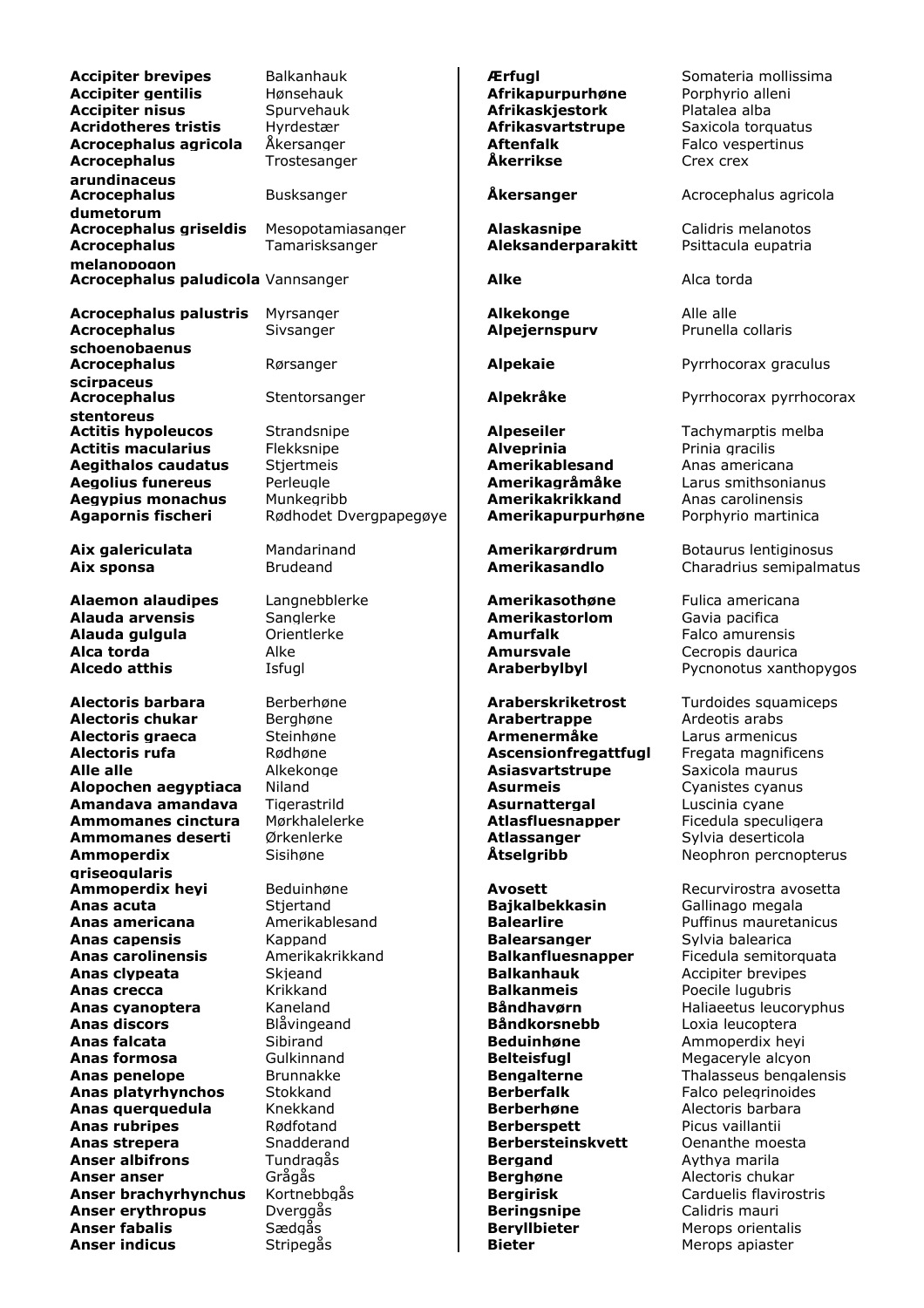**Accipiter brevipes** Balkanhauk **Erfugl Exercise Somateria mollissima Accipiter gentilis** Hønsehauk **Afrikapurpurhøne** Porphyrio alleni **Accipiter nisus** Spurvehauk **Afrikaskjestork** Platalea alba **Acridotheres tristis** Hyrdestær **Afrikasvartstrupe** Saxicola torquatus **Acrocephalus agricola** Åkersanger **Aftenfalk** Aftenfalk Falco vespertinus **Acrocephalus arundinaceus** Trostesanger **Åkerrikse** Crex crex **Acrocephalus dumetorum** Busksanger **Akersanger** Acrocephalus agricola **Acrocephalus griseldis** Mesopotamiasanger **Alaskasnipe** Calidris melanotos<br> **Acrocephalus** Tamarisksanger **Aleksanderparakitt** Psittacula eupatria **Acrocephalus melanopogon** Tamarisksanger **Aleksanderparakitt Acrocephalus paludicola** Vannsanger **Alke Alca torda** Alca torda **Acrocephalus palustris** Myrsanger **Alkekonge** Alle alle **Acrocephalus schoenobaenus** Sivsanger **Alpejernspurv** Prunella collaris **Acrocephalus scirpaceus** Rørsanger **Alpekaie** Pyrrhocorax graculus **Acrocephalus stentoreus** Stentorsanger **Alpekråke** Pyrrhocorax pyrrhocorax **Actitis hypoleucos** Strandsnipe **Alpeseiler Tachymarptis melba Actitis macularius** Flekksnipe **Alveprinia** Prinia gracilis **Aegithalos caudatus** Stjertmeis **Amerikablesand** Anas americana **Aegolius funereus** Perleugle **Amerikagråmåke** Larus smithsonianus **Aegypius monachus** Munkegribb **Amerikakrikkand** Anas carolinensis Agapornis fischeri Rødhodet Dvergpapegøye | Amerikapurpurhøne Porphyrio martinica **Aix galericulata** Mandarinand **Amerikarørdrum** Botaurus lentiginosus **Aix sponsa** Brudeand **Amerikasandlo** Charadrius semipalmatus **Alaemon alaudipes** Langnebblerke **Amerikasothøne** Fulica americana **Alauda arvensis** Sanglerke **Amerikastorlom** Gavia pacifica **Alauda gulgula** Orientlerke **Amurfalk** Falco amurensis **Alca torda Alke** Alke **Amursvale Cecropis daurica Alcedo atthis Isfuglican Community Community Community Araberbylbyl** Pycnonotus xanthopygos **Alectoris barbara** Berberhøne **Araberskriketrost** Turdoides squamiceps **Alectoris chukar** Berghøne **Arabertrappe** Ardeotis arabs **Alectoris graeca** Steinhøne **Armenermåke** Larus armenicus **Alectoris rufa Ascensionfregattfugl** Fregata magnificens **Alle alle** Alkekonge **Asiasvartstrupe** Saxicola maurus **Alopochen aegyptiaca** Niland **Asurmeis Asurmeis** Cyanistes cyanus **Amandava amandava** Tigerastrild **Asurnattergal** Luscinia cyane Ammomanes cinctura Mørkhalelerke **Atlasfluesnapper** Ficedula speculigera **Ammomanes deserti** Ørkenlerke **Atlassanger** Sylvia deserticola **Ammoperdix griseogularis** Sisihøne **Åtselgribb** Neophron percnopterus **Ammoperdix hevi** Beduinhøne **Avosett Avosett** Recurvirostra avosetta **Anas acuta** Stjertand **Bajkalbekkasin** Gallinago megala **Anas americana** Amerikablesand **Balearlire Balearlich Balearlice** Puffinus mauretanicus **Anas capensis Balearsanger Balearsanger** Sylvia balearica **Anas carolinensis** Amerikakrikkand **Balkanfluesnapper** Ficedula semitorquata **Anas clypeata** Skjeand **Balkanhauk** Accipiter brevipes **Anas crecca** Krikkand **Balkanmeis** Poecile lugubris **Anas cyanoptera** Kaneland **Båndhavørn** Haliaeetus leucoryphus **Anas discors** Blåvingeand **Båndkorsnebb** Loxia leucoptera **Anas falcata** Sibirand **Beduinhøne** Ammoperdix heyi **Anas formosa Gulkinnand Belteisfugl Belteisfugl** Megaceryle alcyon **Anas penelope** Brunnakke **Bengalterne** Thalasseus bengalensis **Anas platyrhynchos** Stokkand **Berberfalk** Falco pelegrinoides **Anas querquedula** Knekkand **Berberhøne** Alectoris barbara **Anas rubripes** Rødfotand **Berberspett** Picus vaillantii **Anas strepera** Snadderand **Berbersteinskvett** Oenanthe moesta **Anser albifrons** Tundragås **Bergand** Aythya marila **Anser anser** Grågås **Berghøne** Alectoris chukar **Anser brachyrhynchus** Kortnebbgås **Bergirisk Bergirisk** Carduelis flavirostris **Anser erythropus** Dverggås **Beringsnipe** Calidris mauri **Anser fabalis** Sædgås **Beryllbieter** Merops orientalis **Anser indicus Bieter Bieter Bieter Merops apiaster Anser indicus**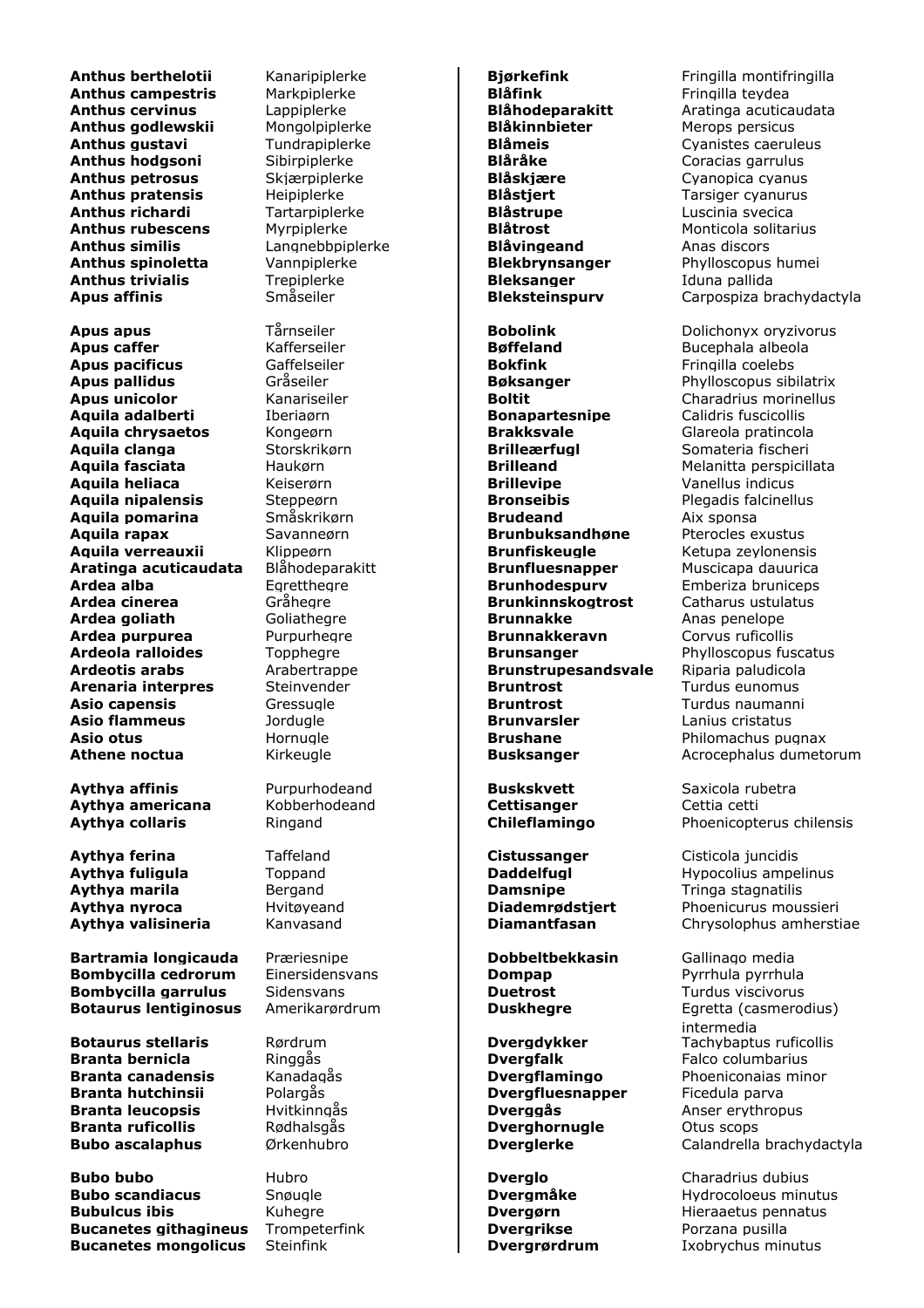**Anthus campestris** Markpiplerke **Blåfink Blåfink** Fringilla teydea **Anthus godlewskii** Mongolpiplerke **Blåkinnbieter** Merops persicus **Anthus gustavi** Tundrapiplerke **Blåmeis** Cyanistes caeruleus **Anthus hodgsoni** Sibirpiplerke **Blåråke Blåråke** Coracias garrulus **Anthus petrosus** Skjærpiplerke **Blåskjære** Cyanopica cyanus **Anthus pratensis** Heipiplerke **Register Heipiplerke Blåstjert** Tarsiger cyanurus **Anthus richardi** Tartarpiplerke **Blåstrupe** Luscinia svecica **Anthus rubescens** Myrpiplerke **Blåtrost Blåtrost** Monticola solitarius **Anthus similis** Langnebbpiplerke **Blåvingeand** Anas discors **Anthus spinoletta** Vannpiplerke **Blekbrynsanger** Phylloscopus humei **Anthus trivialis Trepiplerke Bleksanger** Iduna pallida<br> **Apus affinis Småseiler Bleksteinspurv** Carpospiza b

**Apus apus** Tårnseiler **Bobolink** Dolichonyx oryzivorus **Apus caffer Bøffeland** Bucephala albeola **Apus pacificus** Gaffelseiler **Bokfink** Fringilla coelebs **Apus pallidus Gråseiler Bøksanger** Phylloscopus sibilatrix **Apus unicolor Kanariseiler Boltit Boltich Charadrius morinellus Aquila adalberti** Iberiaørn **Bonapartesnipe** Calidris fuscicollis **Aquila chrysaetos** Kongeørn **Brakksvale** Glareola pratincola **Aquila clanga** Storskrikørn **Brilleærfugl** Somateria fischeri **Aquila fasciata** Haukørn **Brilleand** Melanitta perspicillata **Aquila heliaca** Keiserørn **Brillevipe** Vanellus indicus **Aquila nipalensis** Steppeørn **Bronseibis** Plegadis falcinellus **Aquila pomarina** Småskrikørn **Brudeand** Aix sponsa **Aquila rapax** Savanneørn **Brunbuksandhøne** Pterocles exustus **Aquila verreauxii** Klippeørn **Brunfiskeugle** Ketupa zeylonensis **Aratinga acuticaudata** Blåhodeparakitt **Brunfluesnapper** Muscicapa dauurica **Ardea alba** Egretthegre **Brunhodespurv** Emberiza bruniceps **Ardea goliath** Goliathegre **Brunnakke** Anas penelope **Ardea purpurea** Purpurhegre **Brunnakkeravn** Corvus ruficollis **Ardeola ralloides** Topphegre **Brunsanger** Phylloscopus fuscatus **Ardeotis arabs** Arabertrappe **Brunstrupesandsvale** Riparia paludicola **Arenaria interpres** Steinvender **Bruntrost Bruntrost** Turdus eunomus **Asio capensis** Gressugle **Bruntrost** Turdus naumanni **Asio flammeus Brunvarsler Brunvarsler** Lanius cristatus **Asio otus** Hornugle **Brushane** Philomachus pugnax

**Aythya affinis Purpurhodeand Buskskvett** Saxicola rubetra **Aythya americana** Kobberhodeand **Cettisanger** Cettia cetti

**Aythya ferina** Taffeland **Cistussanger** Cisticola juncidis **Aythya marila** Bergand **Damsnipe** Tringa stagnatilis

**Bartramia longicauda** Præriesnipe **Dobbeltbekkasin** Gallinago media **Bombycilla cedrorum** Einersidensvans **Dompap** Pyrrhula pyrrhula **Bombycilla garrulus** Sidensvans **Duetrost Duetrost** Turdus viscivorus **Botaurus lentiginosus** Amerikarørdrum **| Duskhegre Egretta (casmerodius)** 

**Branta bernicla** Ringgås **Dvergfalk** Falco columbarius **Branta canadensis** Kanadagås **Dvergflamingo** Phoeniconaias minor **Branta hutchinsii** Polargås **Dvergfluesnapper** Ficedula parva **Branta leucopsis** Hvitkinngås **Dverggås** Anser erythropus **Branta ruficollis** Rødhalsgås **Dverghornugle** Otus scops

**Bubo bubo** Hubro **Dverglo** Charadrius dubius **Bubo scandiacus** Snøugle **Dvergmåke** Hydrocoloeus minutus **Bubulcus ibis Constitution Constitution Constitution Constitution Proportional Proportion Constitution Proportion Proportion Constitution Proportion Constitution Proportion Constitution Proportion Constitution Proportio Bucanetes githagineus** Trompeterfink **Dvergrikse Porzana pusilla Bucanetes mongolicus** Steinfink **Dvergrørdrum** Ixobrychus minutus

**Brunkinnskogtrost** Catharus ustulatus

**Anthus berthelotii** Kanaripiplerke **Bjørkefink Birkefing Bringilla montifringilla**<br> **Anthus campestris** Markpiplerke **Blåfink Blåfink** Fringilla teydea **Anthus cervinus** Lappiplerke **Blåhodeparakitt** Aratinga acuticaudata **Apus affinis** Småseiler **Bleksteinspurv** Carpospiza brachydactyla

**Athene noctua** Kirkeugle **Busksanger** Acrocephalus dumetorum

**Aythya collaris** Ringand **Chileflamingo** Phoenicopterus chilensis

**Aythya fuligula** Toppand **Daddelfugl** Hypocolius ampelinus **Aythya nyroca** Hvitøyeand **Diademrødstjert** Phoenicurus moussieri **Aythya valisineria** Kanvasand **Diamantfasan** Chrysolophus amherstiae

intermedia **Botaurus stellaris** Rørdrum **Dvergdykker** Tachybaptus ruficollis **Bubo ascalaphus** Ørkenhubro **Dverglerke** Calandrella brachydactyla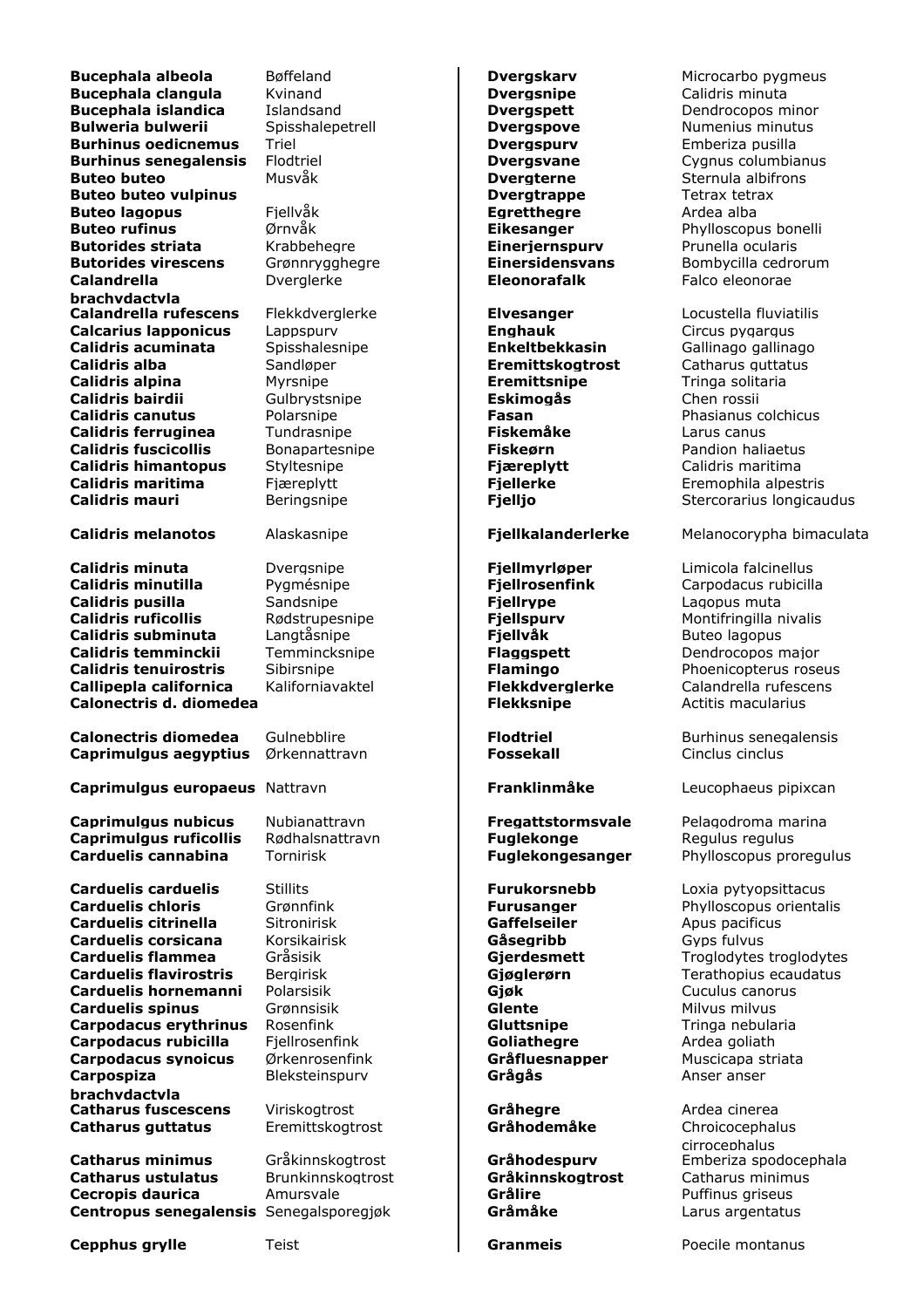**Bucephala albeola** Bøffeland **Dvergskarv** Microcarbo pygmeus **Bucephala clangula** Kvinand **Dvergsnipe** Calidris minuta **Bucephala islandica** Islandsand **Dvergspett** Dendrocopos minor **Bulweria bulwerii** Spisshalepetrell **Dvergspove** Numenius minutus **Numenius** minutus **Burhinus oedicnemus** Triel **Dvergspurv** Emberiza pusilla **Burhinus senegalensis** Flodtriel **Dvergsvane** Cygnus columbianus **Buteo buteo** Musvåk **Dvergterne** Sternula albifrons **Buteo buteo vulpinus Dvergtrappe** Tetrax tetrax **Buteo buteo vulpinus Buteo lagopus** Fiellvåk **Egretthegre** Ardea alba **Buteo rufinus** *Mericial Critical <b>Eikesanger* Phylloscopus bonelli **Butorides striata Eineriernspurv** Prunella ocularis **Butorides striata** Krabbehegre **Einerjernspurv** Prunella ocularis **Butorides virescens** Grønnrygghegre **Einersidensvans** Bombycilla cedrorum **Calandrella brachydactyla Calandrella rufescens** Flekkdverglerke **Elvesanger** Locustella fluviatilis **Calcarius lapponicus** Lappspurv **Enghauk** Enghauk Circus pygargus **Calidris acuminata** Spisshalesnipe **Enkeltbekkasin** Gallinago gallinago **Calidris alba** Sandløper **Eremittskogtrost** Catharus guttatus **Calidris alpina Myrsnipe <b>Exercitive Exercitive Exercitive Exercitive Exercise EXERC Calidris bairdii** Gulbrystsnipe **Eskimogås** Chen rossii **Calidris canutus** Polarsnipe **Fasan** Phasianus colchicus **Calidris ferruginea** Tundrasnipe **Fiskemåke** Larus canus<br> **Calidris fuscicollis** Bonapartesnipe **Fiskeørn** Pandion haliaetus **Calidris fuscicollis** Bonapartesnipe **Fiskeørn Calidris himantopus** Styltesnipe **Fiæreplytt** Calidris maritima **Calidris maritima** Fjæreplytt **Fjellerke Fremophila alpestris Calidris mauri** Beringsnipe **Fjelljo Fielly Fielly** Stercorarius longicaudus **Calidris minuta** Dvergsnipe **Fjellmyrløper** Limicola falcinellus **Calidris minutilla** Pygmésnipe **Fiellrosenfink** Carpodacus rubicilla **Calidris pusilla** Sandsnipe **Fjellrype** Lagopus muta

**Calidris ruficollis** Rødstrupesnipe **Fjellspurv** Montifringilla nivalis **Calidris subminuta** Langtåsnipe **Fiellvåk** Buteo lagopus **Calidris temminckii** Temmincksnipe **Flaggspett** Dendrocopos major **Calidris tenuirostris** Sibirsnipe **Flamingo** Phoenicopterus roseus **Callipepla californica** Kaliforniavaktel **Flekkdverglerke** Calandrella rufescens **Calonectris d. diomedea Flekksnipe Actitis macularius Calonectris d. diomedea** 

**Calonectris diomedea** Gulnebblire **Flodtriel Flodtriel** Burhinus senegalensis **Caprimulgus aegyptius** Ørkennattravn **Fossekall Fossekall** Cinclus cinclus

**Caprimulgus europaeus** Nattravn **Franklinmåke** Leucophaeus pipixcan

**Caprimulgus nubicus** Nubianattravn **Fregattstormsvale** Pelagodroma marina **Caprimulgus ruficollis** Rødhalsnattravn **Fuglekonge** Regulus regulus Regulus Regulus Regulus Regulus Regulus Regulus Regulus Regulus Regulus Regulus Regulus Regulus Regulus Regulus Regulus Regulus Regulus Regulus Regulus **Carduelis cannabina** Tornirisk **Fuglekongesanger** Phylloscopus proregulus

**Carduelis carduelis** Stillits **Furukorsnebb** Loxia pytyopsittacus **Carduelis chloris Grønnfink Furusanger** Phylloscopus orientalis **Carduelis citrinella** Sitronirisk **Gaffelseiler** Apus pacificus **Carduelis corsicana** Korsikairisk **Gåsegribb** Gyps fulvus **Carduelis flammea** Gråsisik **Gjerdesmett** Troglodytes troglodytes **Carduelis flavirostris** Bergirisk **Giøglerørn** Terathopius ecaudatus **Carduelis hornemanni** Polarsisik **Giøk Gjøk** Cuculus canorus **Carduelis spinus** Grønnsisik **Glente Glente** Milvus milvus **Carpodacus erythrinus** Rosenfink **Gluttsnipe Gluttsnipe** Tringa nebularia **Carpodacus rubicilla** Fjellrosenfink **Goliathegre** Ardea goliath **Carpodacus synoicus** Ørkenrosenfink **Gråfluesnapper** Muscicapa striata **Carpospiza brachydactyla Catharus fuscescens** Viriskogtrost **Gråhegre** Ardea cinerea **Catharus guttatus** Eremittskogtrost **Gråhodemåke** Chroicocephalus

**Catharus ustulatus** Brunkinnskogtrost **Gråkinnskogtrost** Catharus minimus **Cecropis daurica** Amursvale **Grålire Grålire Grålite** Puffinus griseus **Centropus senegalensis** Senegalsporegjøk **Gråmåke** Larus argentatus

Dverglerke **Eleonorafalk** Falco eleonorae

Bleksteinspurv **Grågås** Anser anser

**Calidris melanotos** Alaskasnipe **Fjellkalanderlerke** Melanocorypha bimaculata

cirrocephalus **Catharus minimus** Gråkinnskogtrost **Gråhodespurv** Emberiza spodocephala

**Cepphus grylle** Teist **Granmeis** Poecile montanus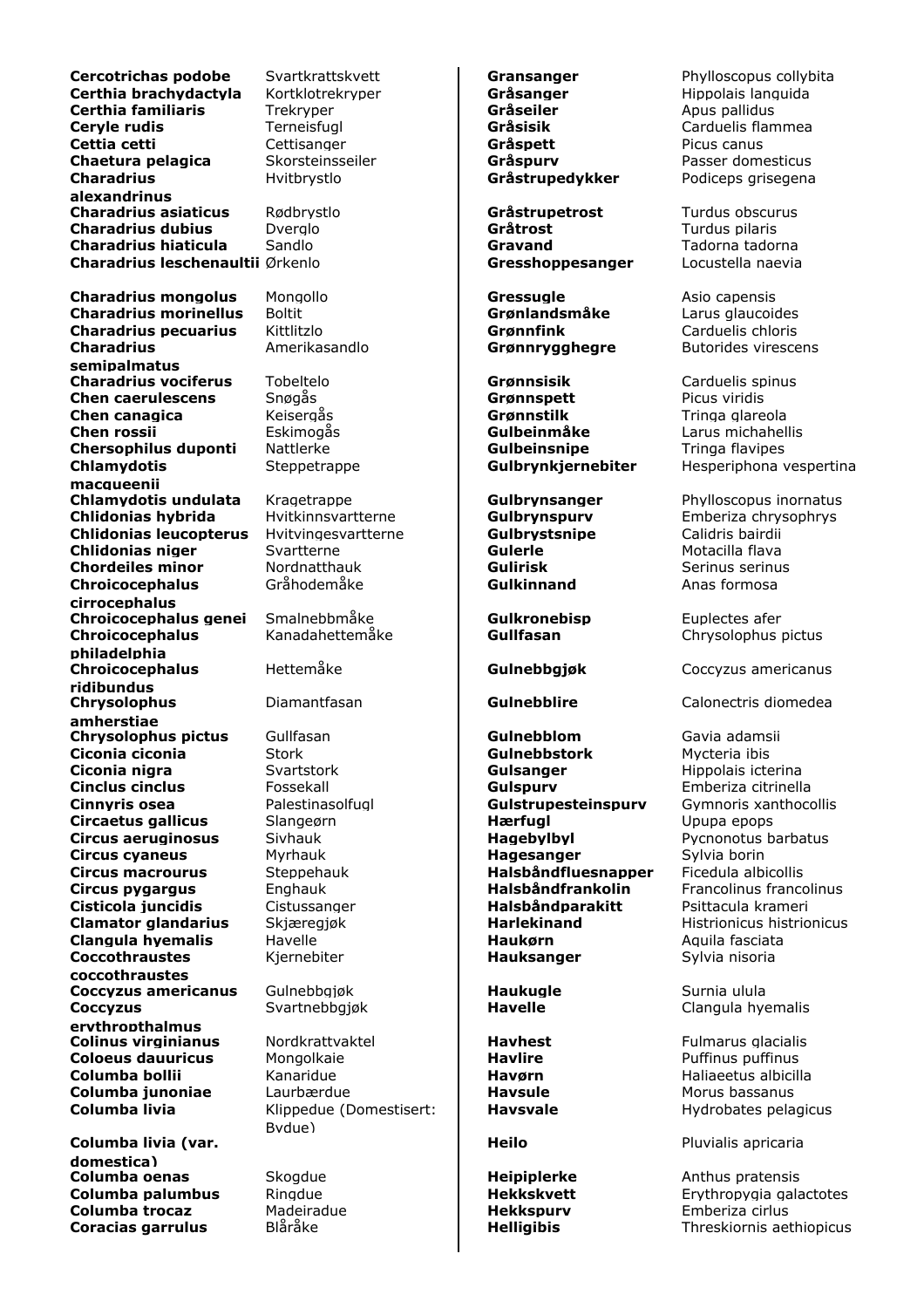**Cercotrichas podobe** Svartkrattskvett **Gransanger** Phylloscopus collybita **Certhia brachydactyla** Kortklotrekryper **Gråsanger** Grønslanger Hippolais languida **Certhia familiaris** Trekryper **Gråseiler** Green Apus pallidus **Ceryle rudis** Terneisfugl **Gråsisik** Carduelis flammea **Cettia cetti** Cettisanger **Gråspett** Picus canus **Chaetura pelagica** Skorsteinsseiler **Gråspurv Gråspurv** Passer domesticus **Charadrius alexandrinus Charadrius asiaticus** Rødbrystlo **Gråstrupetrost** Turdus obscurus **Charadrius dubius** Dverglo **Gråtrost** Green Turdus pilaris **Charadrius hiaticula** Sandlo **Gravand** Tadorna tadorna **Charadrius leschenaultii** Ørkenlo **Gresshoppesanger** Locustella naevia

**Charadrius mongolus** Mongollo **Gressugle** Asio capensis **Charadrius morinellus** Boltit **Grønlandsmåke** Larus glaucoides **Charadrius pecuarius** Kittlitzlo **Grønnfink** Carduelis chloris **Charadrius semipalmatus Charadrius vociferus** Tobeltelo **Grønnsisik** Grønnsisik Carduelis spinus **Chen caerulescens** Snøgås **Grønnspett** Picus viridis **Chen canagica** Keisergås **Grønnstilk** Tringa glareola **Chen rossii** Eskimogås **Gulbeinmåke** Larus michahellis **Chersophilus duponti** Nattlerke **Gulbeinsnipe** Tringa flavipes **Chlamydotis macqueenii Chlamydotis undulata** Kragetrappe **Gulbrynsanger** Phylloscopus inornatus **Chlidonias hybrida** Hvitkinnsvartterne **Gulbrynspurv** Emberiza chrysophrys **Chlidonias leucopterus** Hvitvingesvartterne **Gulbrystsnipe** Calidris bairdii **Chlidonias niger** Svartterne **Gulerle Gulerle** Motacilla flava **Chordeiles minor** Mordnatthauk **Gulirisk Gulirisk** Serinus serinus **Chroicocephalus cirrocephalus Chroicocephalus genei** Smalnebbmåke **Gulkronebisp** Euplectes afer **Chroicocephalus philadelphia Chroicocephalus ridibundus Chrysolophus amherstiae Chrysolophus pictus** Gullfasan **Gulltang Gulnebblom** Gavia adamsii **Ciconia ciconia** Stork **Gulnebbstork** Mycteria ibis **Ciconia nigra Gulsanger Gulsanger Hippolais icterina Cinclus cinclus** Fossekall **Gulspurv Emberiza citrinella Cinnyris osea** Palestinasolfugl **Gulstrupesteinspurv** Gymnoris xanthocollis **Circaetus gallicus** Slangeørn **Hærfugl** Hærfugl Upupa epops **Circus aeruginosus** Sivhauk **Hagebylbyl Hagebylbyl** Pycnonotus barbatus **Circus cyaneus** Myrhauk **Hagesanger** Sylvia borin **Circus macrourus** Steppehauk **Halsbåndfluesnapper** Ficedula albicollis **Circus pygargus** Enghauk **Halsbåndfrankolin** Francolinus francolinus **Cisticola juncidis** Cistussanger **Halsbåndparakitt** Psittacula krameri **Clamator glandarius** Skjæregjøk **Harlekinand** Histrionicus histrionicus Histrionicus histrionicus **Clangula hyemalis** Havelle **Haukørn** Aquila fasciata **Coccothraustes coccothraustes Coccyzus americanus** Gulnebbgjøk **Haukugle Haukugle** Surnia ulula **Coccyzus erythropthalmus Colinus virginianus** Nordkrattvaktel **Havhest** Havus Fulmarus glacialis **Coloeus dauuricus** Mongolkaie **Havlire Havlire** Puffinus puffinus **Columba bollii** Kanaridue **Havørn** Haliaeetus albicilla **Columba junoniae** Laurbærdue **Havsule** Havsule Morus bassanus **Columba livia** Klippedue (Domestisert:

**Columba livia (var. domestica) Columba oenas Skogdue Brand Heipiplerke** Anthus pratensis **Columba trocaz** Madeiradue **Hekkspurv** Emberiza cirlus

Gråhodemåke **Gulkinnand** Anas formosa

Bydue)

Kjernebiter **Hauksanger** Sylvia nisoria

Hvitbrystlo **Gråstrupedykker** Podiceps grisegena

Amerikasandlo **Grønnrygghegre** Butorides virescens

Steppetrappe **Gulbrynkjernebiter** Hesperiphona vespertina

Kanadahettemåke **Gullfasan** Chrysolophus pictus

Hettemåke **Gulnebbgjøk** Coccyzus americanus

Diamantfasan **Gulnebblire** Calonectris diomedea

Svartnebbgjøk **Havelle** Clangula hyemalis

**Havsvale Hydrobates pelagicus** 

**Heilo** Pluvialis apricaria

**Columba palumbus** Ringdue **Hekkskvett** Erythropygia galactotes **Coracias garrulus** Blåråke **Helligibis** Helligibis Threskiornis aethiopicus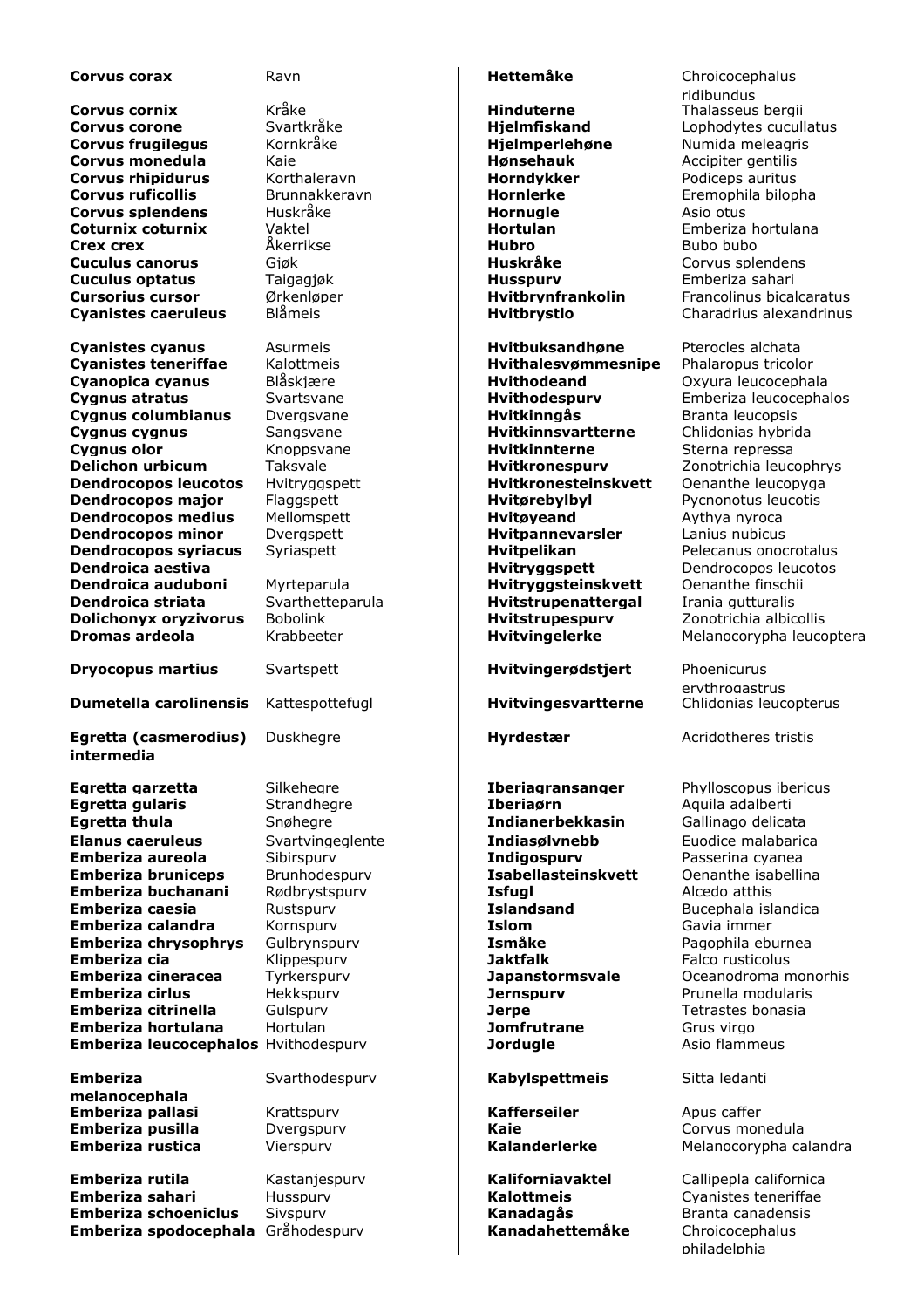| Corvus corax                         | Ravn                           | <b>Hettemåke</b>            | Chroicocephalus                      |
|--------------------------------------|--------------------------------|-----------------------------|--------------------------------------|
|                                      |                                |                             | ridibundus                           |
| <b>Corvus cornix</b>                 | Kråke                          | Hinduterne                  | Thalasseus bergii                    |
| <b>Corvus corone</b>                 | Svartkråke                     | <b>Hjelmfiskand</b>         | Lophodytes cucullatus                |
| <b>Corvus frugilegus</b>             | Kornkråke                      | Hjelmperlehøne              | Numida meleagris                     |
| Corvus monedula                      | Kaie                           | <b>Hønsehauk</b>            | Accipiter gentilis                   |
| Corvus rhipidurus                    | Korthaleravn                   | Horndykker                  | Podiceps auritus                     |
| <b>Corvus ruficollis</b>             | Brunnakkeravn                  | <b>Hornlerke</b>            | Eremophila bilopha                   |
| <b>Corvus splendens</b>              | Huskråke                       | Hornugle                    | Asio otus                            |
| Coturnix coturnix                    | Vaktel                         | <b>Hortulan</b>             | Emberiza hortulana                   |
| <b>Crex crex</b>                     | Åkerrikse                      | Hubro                       | Bubo bubo                            |
| <b>Cuculus canorus</b>               | Gjøk                           | Huskråke                    | Corvus splendens                     |
| <b>Cuculus optatus</b>               | Taigagjøk                      | <b>Husspurv</b>             | Emberiza sahari                      |
| <b>Cursorius cursor</b>              | Ørkenløper                     | Hvitbrynfrankolin           | Francolinus bicalcaratus             |
| <b>Cyanistes caeruleus</b>           | <b>Blåmeis</b>                 | Hvitbrystlo                 | Charadrius alexandrinus              |
|                                      |                                |                             |                                      |
| <b>Cyanistes cyanus</b>              | Asurmeis                       | <b>Hvitbuksandhøne</b>      | Pterocles alchata                    |
| <b>Cyanistes teneriffae</b>          | Kalottmeis                     | Hvithalesvømmesnipe         | Phalaropus tricolor                  |
|                                      | Blåskjære                      | <b>Hvithodeand</b>          |                                      |
| Cyanopica cyanus                     |                                |                             | Oxyura leucocephala                  |
| <b>Cygnus atratus</b>                | Svartsvane                     | Hvithodespurv               | Emberiza leucocephalos               |
| Cygnus columbianus                   | Dverasvane                     | Hvitkinngås                 | Branta leucopsis                     |
| <b>Cygnus cygnus</b>                 | Sangsvane                      | <b>Hvitkinnsvartterne</b>   | Chlidonias hybrida                   |
| <b>Cygnus olor</b>                   | Knoppsvane                     | <b>Hvitkinnterne</b>        | Sterna repressa                      |
| <b>Delichon urbicum</b>              | Taksvale                       | <b>Hvitkronespurv</b>       | Zonotrichia leucophrys               |
| <b>Dendrocopos leucotos</b>          | Hvitryggspett                  | <b>Hvitkronesteinskvett</b> | Oenanthe leucopyga                   |
| Dendrocopos major                    | Flaggspett                     | Hvitørebylbyl               | Pycnonotus leucotis                  |
| <b>Dendrocopos medius</b>            | Mellomspett                    | Hvitøyeand                  | Aythya nyroca                        |
| <b>Dendrocopos minor</b>             | Dvergspett                     | <b>Hvitpannevarsler</b>     | Lanius nubicus                       |
| <b>Dendrocopos syriacus</b>          | Syriaspett                     | <b>Hvitpelikan</b>          | Pelecanus onocrotalus                |
| Dendroica aestiva                    |                                | Hvitryggspett               | Dendrocopos leucotos                 |
| Dendroica auduboni                   | Myrteparula                    | Hvitryggsteinskvett         | Oenanthe finschii                    |
| Dendroica striata                    | Svarthetteparula               | <b>Hvitstrupenattergal</b>  | Irania gutturalis                    |
| <b>Dolichonvx orvzivorus</b>         | <b>Bobolink</b>                | Hvitstrupespurv             | Zonotrichia albicollis               |
| Dromas ardeola                       | Krabbeeter                     | Hvitvingelerke              | Melanocorypha leucoptera             |
|                                      |                                |                             |                                      |
| <b>Dryocopus martius</b>             | Svartspett                     | Hvitvingerødstjert          | Phoenicurus<br>erythrogastrus        |
| <b>Dumetella carolinensis</b>        | Kattespottefugl                | Hvitvingesvartterne         | Chlidonias leucopterus               |
|                                      |                                |                             |                                      |
| Egretta (casmerodius)<br>intermedia  | Duskhegre                      | <b>Hyrdestær</b>            | Acridotheres tristis                 |
|                                      |                                |                             |                                      |
| Egretta garzetta                     | Silkeheare                     | <b>Iberiagransanger</b>     | Phylloscopus ibericus                |
| Egretta gularis                      | Strandhegre                    | <b>Iberiaørn</b>            | Aquila adalberti                     |
| <b>Egretta thula</b>                 | Snøhegre                       | <b>Indianerbekkasin</b>     | Gallinago delicata                   |
| <b>Elanus caeruleus</b>              | Svartvingeglente               | Indiasølvnebb               | Euodice malabarica                   |
| Emberiza aureola                     | Sibirspurv                     | Indigospurv                 | Passerina cvanea                     |
| <b>Emberiza bruniceps</b>            |                                | Isabellasteinskvett         |                                      |
| Emberiza buchanani                   | Brunhodespurv<br>Rødbrystspurv | <b>Isfual</b>               | Oenanthe isabellina<br>Alcedo atthis |
|                                      |                                |                             |                                      |
| Emberiza caesia                      | Rustspurv                      | <b>Islandsand</b>           | Bucephala islandica                  |
| Emberiza calandra                    | Kornspurv                      | <b>Islom</b>                | Gavia immer                          |
| <b>Emberiza chrysophrys</b>          | Gulbrynspurv                   | Ismåke                      | Pagophila eburnea                    |
| Emberiza cia                         | Klippespurv                    | <b>Jaktfalk</b>             | Falco rusticolus                     |
| Emberiza cineracea                   | Tyrkerspurv                    | <b>Japanstormsvale</b>      | Oceanodroma monorhis                 |
| <b>Emberiza cirlus</b>               | Hekkspurv                      | <b>Jernspurv</b>            | Prunella modularis                   |
| Emberiza citrinella                  | Gulspurv                       | <b>Jerpe</b>                | Tetrastes bonasia                    |
| Emberiza hortulana                   | Hortulan                       | <b>Jomfrutrane</b>          | Grus virgo                           |
| Emberiza leucocephalos Hvithodespurv |                                | <b>Jordugle</b>             | Asio flammeus                        |
|                                      |                                |                             |                                      |
| <b>Emberiza</b>                      | Svarthodespurv                 | <b>Kabylspettmeis</b>       | Sitta ledanti                        |
| melanocephala                        |                                |                             |                                      |
| Emberiza pallasi                     | Krattspurv                     | <b>Kafferseiler</b>         | Apus caffer                          |
| Emberiza pusilla                     | Dvergspurv                     | Kaie                        | Corvus monedula                      |
| Emberiza rustica                     | Vierspurv                      | <b>Kalanderlerke</b>        | Melanocorypha calandra               |
| Emberiza rutila                      | Kastanjespurv                  | Kaliforniavaktel            | Callipepla californica               |
| Emberiza sahari                      | Husspurv                       | <b>Kalottmeis</b>           | Cyanistes teneriffae                 |
| <b>Emberiza schoeniclus</b>          | Sivspurv                       | Kanadagås                   | Branta canadensis                    |
| Emberiza spodocephala Gråhodespurv   |                                | Kanadahettemåke             | Chroicocephalus                      |
|                                      |                                |                             |                                      |

philadelphia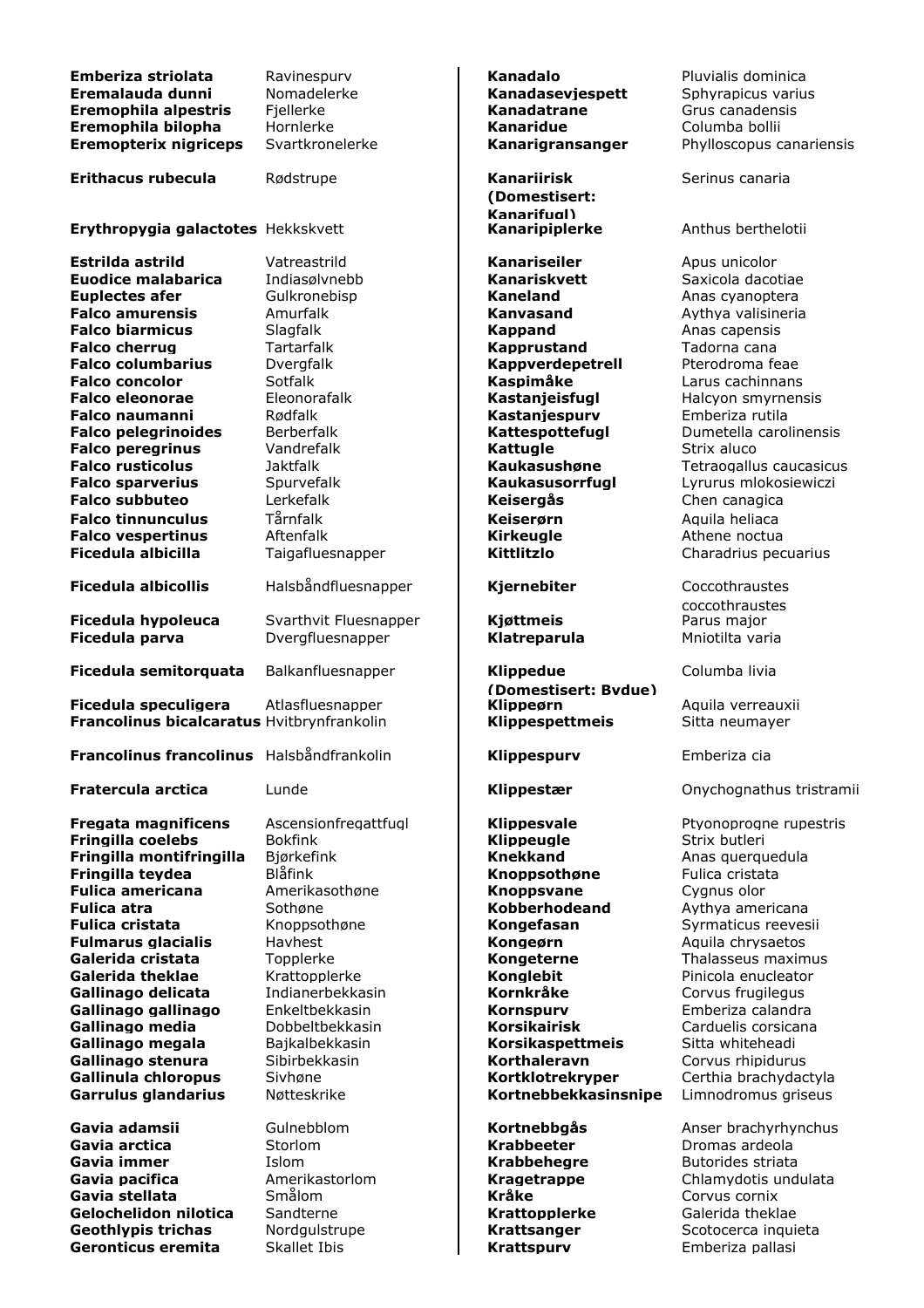| Emberiza striolata<br>Eremalauda dunni<br>Eremophila alpestris | Ravinespurv<br>Nomadelerke<br>Fjellerke | Kanadalo<br>Kanadasevjespett<br>Kanadatrane | Pluvialis dominica<br>Sphyrapicus varius<br>Grus canadensis |
|----------------------------------------------------------------|-----------------------------------------|---------------------------------------------|-------------------------------------------------------------|
| Eremophila bilopha<br><b>Eremopterix nigriceps</b>             | Hornlerke<br>Svartkronelerke            | <b>Kanaridue</b><br>Kanarigransanger        | Columba bollii<br>Phylloscopus canariensis                  |
| <b>Erithacus rubecula</b>                                      | Rødstrupe                               | <b>Kanariirisk</b><br>(Domestisert:         | Serinus canaria                                             |
| Erythropygia galactotes Hekkskvett                             |                                         | Kanarifugl)<br>Kanaripiplerke               | Anthus berthelotii                                          |
| Estrilda astrild                                               | Vatreastrild                            | Kanariseiler                                | Apus unicolor                                               |
| <b>Euodice malabarica</b>                                      | Indiasølvnebb                           | Kanariskvett                                | Saxicola dacotiae                                           |
| <b>Euplectes afer</b>                                          | Gulkronebisp                            | <b>Kaneland</b>                             | Anas cyanoptera                                             |
| <b>Falco amurensis</b>                                         | Amurfalk                                | Kanvasand                                   | Aythya valisineria                                          |
| <b>Falco biarmicus</b>                                         | Slagfalk                                | <b>Kappand</b>                              | Anas capensis                                               |
| <b>Falco cherrug</b>                                           | Tartarfalk                              | <b>Kapprustand</b>                          | Tadorna cana                                                |
| <b>Falco columbarius</b>                                       | Dvergfalk                               | Kappverdepetrell                            | Pterodroma feae                                             |
| <b>Falco concolor</b><br><b>Falco eleonorae</b>                | Sotfalk<br>Eleonorafalk                 | Kaspimåke                                   | Larus cachinnans<br>Halcyon smyrnensis                      |
| <b>Falco naumanni</b>                                          | Rødfalk                                 | Kastanjeisfugl<br>Kastanjespurv             | Emberiza rutila                                             |
| <b>Falco pelegrinoides</b>                                     | <b>Berberfalk</b>                       | Kattespottefugl                             | Dumetella carolinensis                                      |
| <b>Falco peregrinus</b>                                        | Vandrefalk                              | <b>Kattugle</b>                             | Strix aluco                                                 |
| <b>Falco rusticolus</b>                                        | <b>Jaktfalk</b>                         | Kaukasushøne                                | Tetraogallus caucasicus                                     |
| <b>Falco sparverius</b>                                        | Spurvefalk                              | Kaukasusorrfugl                             | Lyrurus mlokosiewiczi                                       |
| <b>Falco subbuteo</b>                                          | Lerkefalk                               | Keisergås                                   | Chen canagica                                               |
| <b>Falco tinnunculus</b>                                       | Tårnfalk                                | Keiserørn                                   | Aquila heliaca                                              |
| <b>Falco vespertinus</b>                                       | Aftenfalk                               | <b>Kirkeugle</b>                            | Athene noctua                                               |
| Ficedula albicilla                                             | Taigafluesnapper                        | Kittlitzlo                                  | Charadrius pecuarius                                        |
| <b>Ficedula albicollis</b>                                     | Halsbåndfluesnapper                     | Kjernebiter                                 | Coccothraustes<br>coccothraustes                            |
| Ficedula hypoleuca                                             | Svarthvit Fluesnapper                   | Kjøttmeis                                   | Parus major                                                 |
| Ficedula parva                                                 | Dvergfluesnapper                        | Klatreparula                                | Mniotilta varia                                             |
| Ficedula semitorquata                                          | Balkanfluesnapper                       | <b>Klippedue</b><br>(Domestisert: Bvdue)    | Columba livia                                               |
| Ficedula speculigera                                           | Atlasfluesnapper                        | Klippeørn                                   | Aquila verreauxii                                           |
| Francolinus bicalcaratus Hvitbrynfrankolin                     |                                         | Klippespettmeis                             | Sitta neumayer                                              |
| Francolinus francolinus Halsbåndfrankolin                      |                                         | Klippespurv                                 | Emberiza cia                                                |
| <b>Fratercula arctica</b>                                      | Lunde                                   | Klippestær                                  | Onychognathus tristramii                                    |
| <b>Fregata magnificens</b>                                     | Ascensionfregattfugl                    | <b>Klippesvale</b>                          | Ptyonoprogne rupestris                                      |
| <b>Fringilla coelebs</b>                                       | <b>Bokfink</b>                          | <b>Klippeugle</b>                           | Strix butleri                                               |
| Fringilla montifringilla                                       | Bjørkefink                              | <b>Knekkand</b>                             | Anas querquedula                                            |
| Fringilla teydea                                               | Blåfink                                 | Knoppsothøne                                | Fulica cristata                                             |
| <b>Fulica americana</b>                                        | Amerikasothøne                          | Knoppsvane                                  | Cygnus olor                                                 |
| <b>Fulica atra</b><br><b>Fulica cristata</b>                   | Sothøne<br>Knoppsothøne                 | <b>Kobberhodeand</b><br>Kongefasan          | Aythya americana<br>Syrmaticus reevesii                     |
| <b>Fulmarus glacialis</b>                                      | Havhest                                 | Kongeørn                                    | Aquila chrysaetos                                           |
| Galerida cristata                                              | Topplerke                               | <b>Kongeterne</b>                           | Thalasseus maximus                                          |
| Galerida theklae                                               | Krattopplerke                           | <b>Konglebit</b>                            | Pinicola enucleator                                         |
| Gallinago delicata                                             | Indianerbekkasin                        | Kornkråke                                   | Corvus frugilegus                                           |
| Gallinago gallinago                                            | Enkeltbekkasin                          | <b>Kornspurv</b>                            | Emberiza calandra                                           |
| Gallinago media                                                | Dobbeltbekkasin                         | <b>Korsikairisk</b>                         | Carduelis corsicana                                         |
| Gallinago megala                                               | Bajkalbekkasin                          | <b>Korsikaspettmeis</b>                     | Sitta whiteheadi                                            |
| Gallinago stenura                                              | Sibirbekkasin                           | Korthaleravn                                | Corvus rhipidurus                                           |
| Gallinula chloropus                                            | Sivhøne                                 | Kortklotrekryper                            | Certhia brachydactyla                                       |
| Garrulus glandarius                                            | Nøtteskrike                             | Kortnebbekkasinsnipe                        | Limnodromus griseus                                         |
| Gavia adamsii                                                  | Gulnebblom                              | Kortnebbgås                                 | Anser brachyrhynchus                                        |
| Gavia arctica                                                  | Storlom                                 | <b>Krabbeeter</b>                           | Dromas ardeola                                              |
| Gavia immer                                                    | Islom                                   | <b>Krabbehegre</b>                          | Butorides striata                                           |
| Gavia pacifica                                                 | Amerikastorlom                          | <b>Kragetrappe</b>                          | Chlamydotis undulata                                        |
| Gavia stellata                                                 | Smålom                                  | Kråke                                       | Corvus cornix                                               |
| Gelochelidon nilotica<br><b>Geothlypis trichas</b>             | Sandterne<br>Nordgulstrupe              | Krattopplerke<br><b>Krattsanger</b>         | Galerida theklae<br>Scotocerca inquieta                     |
| Geronticus eremita                                             | Skallet Ibis                            | <b>Krattspurv</b>                           | Emberiza pallasi                                            |
|                                                                |                                         |                                             |                                                             |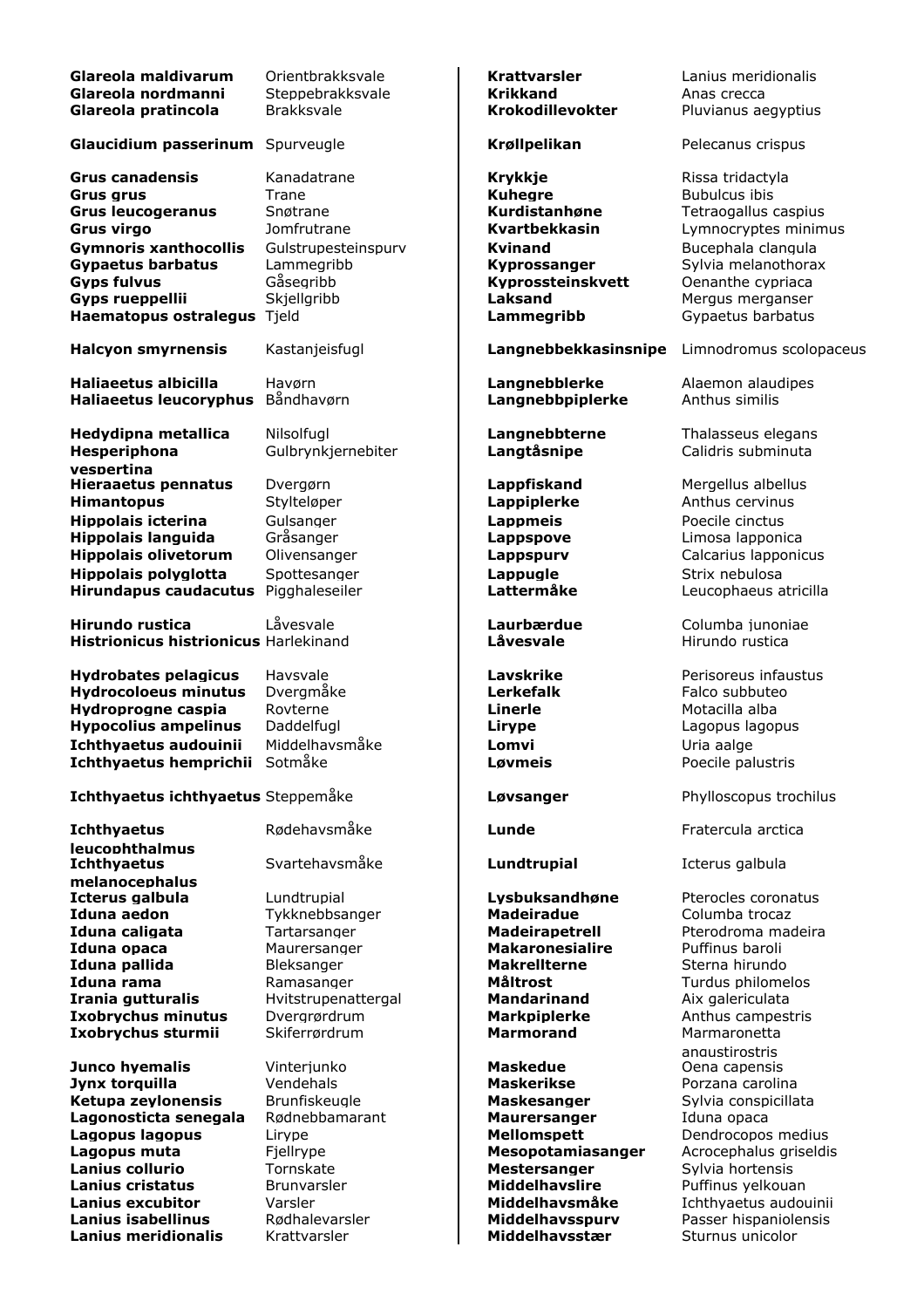| Glareola maldivarum<br>Glareola nordmanni<br>Glareola pratincola                                                                                                                                                                | Orientbrakksvale<br>Steppebrakksvale<br><b>Brakksvale</b>                                                        | <b>Krattvarsler</b><br><b>Krikkand</b><br>Krokodillevokter                                                                                         | Lanius meridionalis<br>Anas crecca<br>Pluvianus aegyptius                                                                                                                                           |
|---------------------------------------------------------------------------------------------------------------------------------------------------------------------------------------------------------------------------------|------------------------------------------------------------------------------------------------------------------|----------------------------------------------------------------------------------------------------------------------------------------------------|-----------------------------------------------------------------------------------------------------------------------------------------------------------------------------------------------------|
| <b>Glaucidium passerinum</b>                                                                                                                                                                                                    | Spurveugle                                                                                                       | Krøllpelikan                                                                                                                                       | Pelecanus crispus                                                                                                                                                                                   |
| <b>Grus canadensis</b><br><b>Grus grus</b><br><b>Grus leucogeranus</b><br><b>Grus virgo</b><br><b>Gymnoris xanthocollis</b><br><b>Gypaetus barbatus</b><br><b>Gyps fulvus</b><br>Gyps rueppellii<br>Haematopus ostralegus Tjeld | Kanadatrane<br>Trane<br>Snøtrane<br>Jomfrutrane<br>Gulstrupesteinspurv<br>Lammegribb<br>Gåsegribb<br>Skjellgribb | <b>Krykkje</b><br><b>Kuhegre</b><br>Kurdistanhøne<br>Kvartbekkasin<br><b>Kvinand</b><br>Kyprossanger<br>Kyprossteinskvett<br>Laksand<br>Lammegribb | Rissa tridactyla<br><b>Bubulcus ibis</b><br>Tetraogallus caspius<br>Lymnocryptes minimus<br>Bucephala clangula<br>Sylvia melanothorax<br>Oenanthe cypriaca<br>Mergus merganser<br>Gypaetus barbatus |
| <b>Halcyon smyrnensis</b>                                                                                                                                                                                                       | Kastanjeisfugl                                                                                                   | Langnebbekkasinsnipe                                                                                                                               | Limnodromus scolopaceus                                                                                                                                                                             |
| Haliaeetus albicilla<br><b>Haliaeetus leucoryphus</b>                                                                                                                                                                           | Havørn<br>Båndhavørn                                                                                             | Langnebblerke<br>Langnebbpiplerke                                                                                                                  | Alaemon alaudipes<br>Anthus similis                                                                                                                                                                 |
| <b>Hedydipna metallica</b><br>Hesperiphona<br>vespertina                                                                                                                                                                        | Nilsolfual<br>Gulbrynkjernebiter                                                                                 | Langnebbterne<br>Langtåsnipe                                                                                                                       | Thalasseus elegans<br>Calidris subminuta                                                                                                                                                            |
| <b>Hieraaetus pennatus</b><br><b>Himantopus</b>                                                                                                                                                                                 | Dvergørn<br>Stylteløper                                                                                          | Lappfiskand<br><b>Lappiplerke</b>                                                                                                                  | Mergellus albellus<br>Anthus cervinus                                                                                                                                                               |
| <b>Hippolais icterina</b><br><b>Hippolais languida</b><br><b>Hippolais olivetorum</b>                                                                                                                                           | Gulsanger<br>Gråsanger<br>Olivensanger                                                                           | <b>Lappmeis</b><br>Lappspove<br><b>Lappspurv</b>                                                                                                   | Poecile cinctus<br>Limosa lapponica<br>Calcarius lapponicus                                                                                                                                         |
| <b>Hippolais polyglotta</b><br><b>Hirundapus caudacutus</b>                                                                                                                                                                     | Spottesanger<br>Pigghaleseiler                                                                                   | Lappugle<br>Lattermåke                                                                                                                             | Strix nebulosa<br>Leucophaeus atricilla                                                                                                                                                             |
| <b>Hirundo rustica</b><br>Histrionicus histrionicus Harlekinand                                                                                                                                                                 | Låvesvale                                                                                                        | Laurbærdue<br>Låvesvale                                                                                                                            | Columba junoniae<br>Hirundo rustica                                                                                                                                                                 |
| <b>Hydrobates pelagicus</b><br><b>Hydrocoloeus minutus</b><br>Hydroprogne caspia<br><b>Hypocolius ampelinus</b>                                                                                                                 | Havsvale<br>Dvergmåke<br>Rovterne<br>Daddelfugl                                                                  | <b>Lavskrike</b><br><b>Lerkefalk</b><br><b>Linerle</b><br>Lirype                                                                                   | Perisoreus infaustus<br>Falco subbuteo<br>Motacilla alba<br>Lagopus lagopus                                                                                                                         |
| Ichthyaetus audouinii                                                                                                                                                                                                           | Middelhavsmåke                                                                                                   | Lomvi                                                                                                                                              | Uria aalge                                                                                                                                                                                          |
| Ichthyaetus hemprichii Sotmăke                                                                                                                                                                                                  |                                                                                                                  | Løvmeis                                                                                                                                            | Poecile palustris                                                                                                                                                                                   |
| Ichthyaetus ichthyaetus Steppemåke                                                                                                                                                                                              |                                                                                                                  | Løvsanger                                                                                                                                          | Phylloscopus trochilus                                                                                                                                                                              |
| <b>Ichthyaetus</b><br><b>leucophthalmus</b>                                                                                                                                                                                     | Rødehavsmåke                                                                                                     | Lunde                                                                                                                                              | Fratercula arctica                                                                                                                                                                                  |
| <b>Ichthyaetus</b><br>melanocephalus                                                                                                                                                                                            | Svartehavsmåke                                                                                                   | Lundtrupial                                                                                                                                        | Icterus galbula                                                                                                                                                                                     |
| Icterus galbula<br>Iduna aedon<br>Iduna caligata<br>Iduna opaca<br>Iduna pallida<br>Iduna rama                                                                                                                                  | Lundtrupial<br>Tykknebbsanger<br>Tartarsanger<br>Maurersanger<br>Bleksanger<br>Ramasanger                        | Lysbuksandhøne<br><b>Madeiradue</b><br><b>Madeirapetrell</b><br><b>Makaronesialire</b><br><b>Makrellterne</b><br><b>Måltrost</b>                   | Pterocles coronatus<br>Columba trocaz<br>Pterodroma madeira<br>Puffinus baroli<br>Sterna hirundo<br>Turdus philomelos                                                                               |
| Irania gutturalis<br><b>Ixobrychus minutus</b><br>Ixobrychus sturmii                                                                                                                                                            | Hvitstrupenattergal<br>Dvergrørdrum<br>Skiferrørdrum                                                             | <b>Mandarinand</b><br><b>Markpiplerke</b><br><b>Marmorand</b>                                                                                      | Aix galericulata<br>Anthus campestris<br>Marmaronetta                                                                                                                                               |
| Junco hyemalis<br>Jynx torquilla<br>Ketupa zeylonensis<br>Lagonosticta senegala<br>Lagopus lagopus<br>Lagopus muta                                                                                                              | Vinterjunko<br>Vendehals<br>Brunfiskeugle<br>Rødnebbamarant<br>Lirype<br>Fjellrype                               | <b>Maskedue</b><br><b>Maskerikse</b><br><b>Maskesanger</b><br><b>Maurersanger</b><br><b>Mellomspett</b><br>Mesopotamiasanger                       | angustirostris<br>Oena capensis<br>Porzana carolina<br>Sylvia conspicillata<br>Iduna opaca<br>Dendrocopos medius<br>Acrocephalus griseldis                                                          |
| Lanius collurio<br><b>Lanius cristatus</b><br><b>Lanius excubitor</b><br>Lanius isabellinus                                                                                                                                     | Tornskate<br><b>Brunvarsler</b><br>Varsler<br>Rødhalevarsler                                                     | <b>Mestersanger</b><br><b>Middelhavslire</b><br>Middelhavsmåke<br>Middelhavsspurv                                                                  | Sylvia hortensis<br>Puffinus yelkouan<br>Ichthyaetus audouinii<br>Passer hispaniolensis                                                                                                             |
| <b>Lanius meridionalis</b>                                                                                                                                                                                                      | Krattvarsler                                                                                                     | Middelhavsstær                                                                                                                                     | Sturnus unicolor                                                                                                                                                                                    |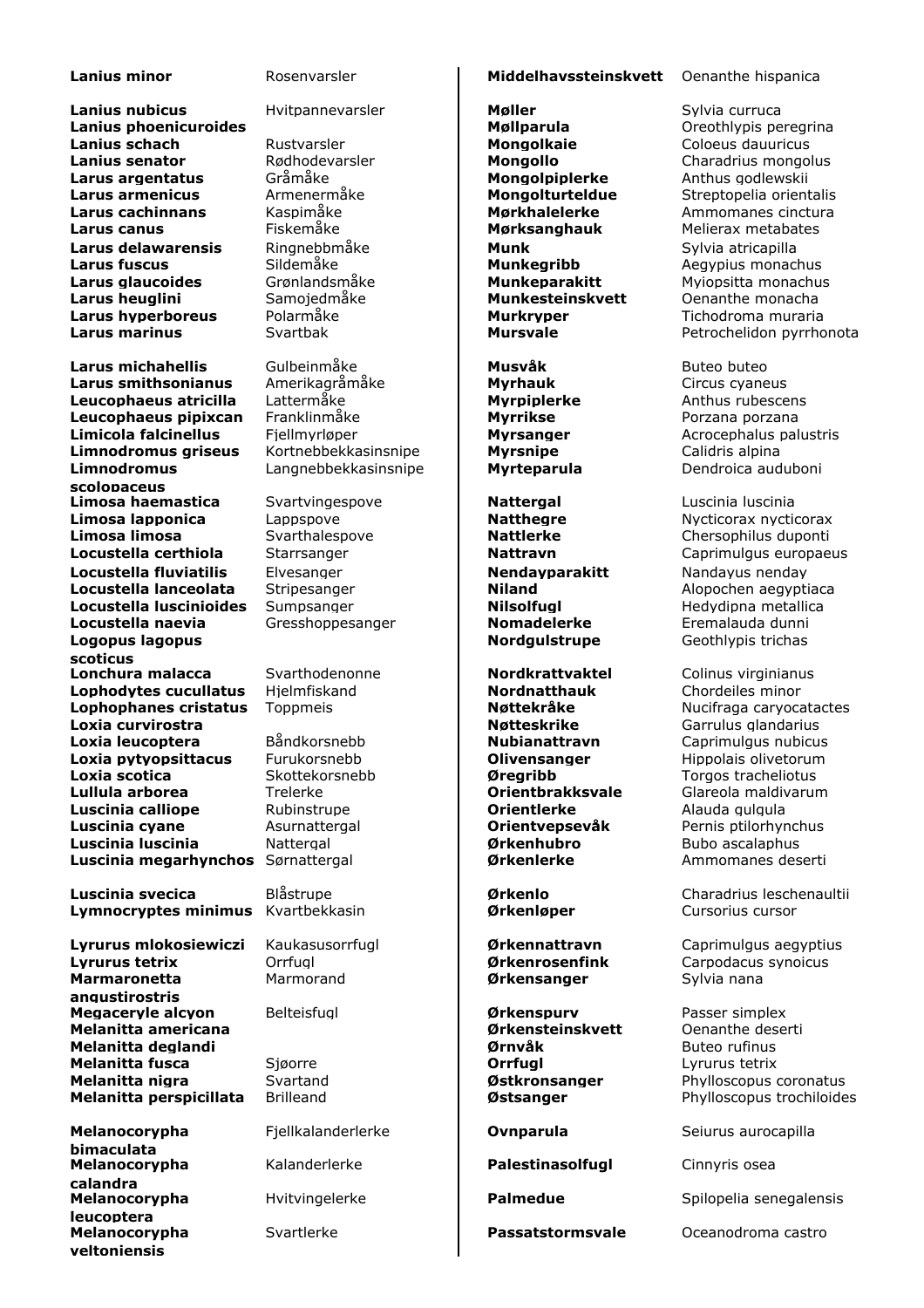**Lanius nubicus** Hvitpannevarsler **Møller** Monten Sylvia curruca **Lanius phoenicuroides Møllparula** Møllparula **Møllparula** Oreothlypis peregrina **Lanius schach** Rustvarsler **Mongolkaie** Coloeus dauuricus **Lanius senator** Rødhodevarsler **Mongollo** Charadrius mongolus **Larus argentatus** Gråmåke **Mongolpiplerke** Anthus godlewskii **Larus armenicus** Armenermåke **Mongolturteldue** Streptopelia orient **Larus armenicus** Armenermåke **Mongolturteldue** Streptopelia orientalis<br> **Larus cachinnans** Kaspimåke **Mørkhalelerke** Ammomanes cinctura **Larus canus** Fiskemåke **Mørksanghauk** Melierax metabates **Larus delawarensis** Ringnebbmåke **Munk** Munk Sylvia atricapilla **Larus fuscus Sildemåke Munkegribb** Aegypius monachus **Aegypius Munkegribb** Aegypius monachus **Larus glaucoides** Grønlandsmåke **Munkeparakitt** Myiopsitta monachus **Larus heuglini** Samojedmåke **Munkesteinskvett** Oenanthe monacha **Larus hyperboreus** Polarmåke **Murkryper** Tichodroma muraria **Larus marinus Svartbak Mursvale Mursvale** Petrochelidon pyrrhonota

**Larus michahellis** Gulbeinmåke **Musvåk** Buteo buteo **Larus smithsonianus** Amerikagråmåke **Myrhauk** Music Music Anthus cyaneus<br> **Leucophaeus atricilla** Lattermåke **Murpiplerke** Anthus rubesce **Leucophaeus atricilla** Lattermåke **Myrpiplerke** Anthus rubescens **Leucophaeus pipixcan** Franklinmåke **Myrrikse Myrrikse** Porzana porzana **Limicola falcinellus** Fjellmyrløper **Myrsanger Myrsanger** Acrocephalus palustris **Limnodromus griseus** Kortnebbekkasinsnipe **Nyrsnipe** Calidris alpina **Limnodromus scolopaceus Limosa haemastica** Svartvingespove **Nattergal Nattergal** Luscinia luscinia **Limosa lapponica** Lappspove **Natthegre** Nuclicorax nycticorax Lappspove **Natthegre** Nycticorax nycticorax **Limosa limosa** Svarthalespove **Nattlerke** Chersophilus duponti **Locustella certhiola** Starrsanger **Nattravn Nattravn** Caprimulgus europaeus **Locustella fluviatilis** Elvesanger **Nendayparakitt** Nandayus nenday **Locustella lanceolata** Stripesanger **Niland Niland** Alopochen aegyptiaca **Locustella luscinioides** Sumpsanger **Nilsolfugl Nilsolfugl Nilsolfugl** Hedydipna metallica **Locustella naevia** Gresshoppesanger **Nomadelerke** Eremalauda dunni **Logopus lagopus scoticus Lophodytes cucullatus** Hielmfiskand **Nordnatthauk** Chordeiles minor **Lophophanes cristatus** Toppmeis **Nottekråke** Nucifraga caryocatactes **Loxia curvirostra Notifical Community Constructs and Community Community Community Community Community Community Loxia leucoptera** Båndkorsnebb **Nubianattravn** Caprimulgus nubicus **Loxia pytyopsittacus** Furukorsnebb **Divensanger** Hippolais olivetorum **Loxia scotica** Skottekorsnebb **Øregribb** Torgos tracheliotus **Lullula arborea** Trelerke **Orientbrakksvale** Glareola maldivarum **Luscinia calliope** Rubinstrupe **Orientlerke** Alauda gulgula **Luscinia cyane** Asurnattergal **Crientvepsevåk** Pernis ptilorhynchus **Luscinia luscinia** Nattergal **Ørkenhubro** Bubo ascalaphus **Luscinia megarhynchos** Sørnattergal **and all Ørkenlerke** Ammomanes deserti

**Luscinia svecica** Blåstrupe **Ørkenlo** Charadrius leschenaultii **Lymnocryptes minimus** Kvartbekkasin **Definition og av Ørkenløper** Cursorius cursor

**Lyrurus tetrix** Orrfugl **Ørkenrosenfink** Carpodacus synoicus **Marmaronetta angustirostris Megaceryle alcyon** Belteisfugl **Belick Connect Burner Belteisfugler Burner Burner Burner Burner Burner Passer simplex<br>
<b>Melanitta americana Burner Burner Burner Burner Burner Burner Burner Burner Burner Burner Burner Bu Melanitta americana Melanitta deglandi Ørnvåk** Buteo rufinus **Melanitta fusca** Sjøorre **Orrfugl** Lyrurus tetrix **Melanitta nigra** Svartand **Østkronsanger** Phylloscopus coronatus **Melanitta perspicillata** Brilleand **Network 1986** *Østsanger* **Phylloscopus trochiloides** 

**Melanocorypha bimaculata Melanocorypha calandra Melanocorypha leucoptera Melanocorypha yeltoniensis**

Langnebbekkasinsnipe | Myrteparula Dendroica auduboni

# **Lanius minor Rosenvarsler Middelhavssteinskvett** Oenanthe hispanica

Marmorand **Dividing Contract Areas anger** Sylvia nana

Kalanderlerke **Palestinasolfugl** Cinnyris osea

**Larus Carolic Kaspimåke Mørkhalelerke Ammomanes cinctura<br>Fiskemåke <b>Mørksanghauk** Melierax metabates

**Nordgulstrupe Geothlypis trichas** 

Svarthodenonne **Nordkrattvaktel** Colinus virginianus<br>
Hielmfiskand **Nordnatthauk** Chordeiles minor

**Lyrurus mlokosiewiczi** Kaukasusorrfugl **Ørkennattravn** Caprimulgus aegyptius

Fjellkalanderlerke **Ovnparula** Seiurus aurocapilla

Hvitvingelerke **Palmedue** Spilopelia senegalensis

Svartlerke **Passatstormsvale** Oceanodroma castro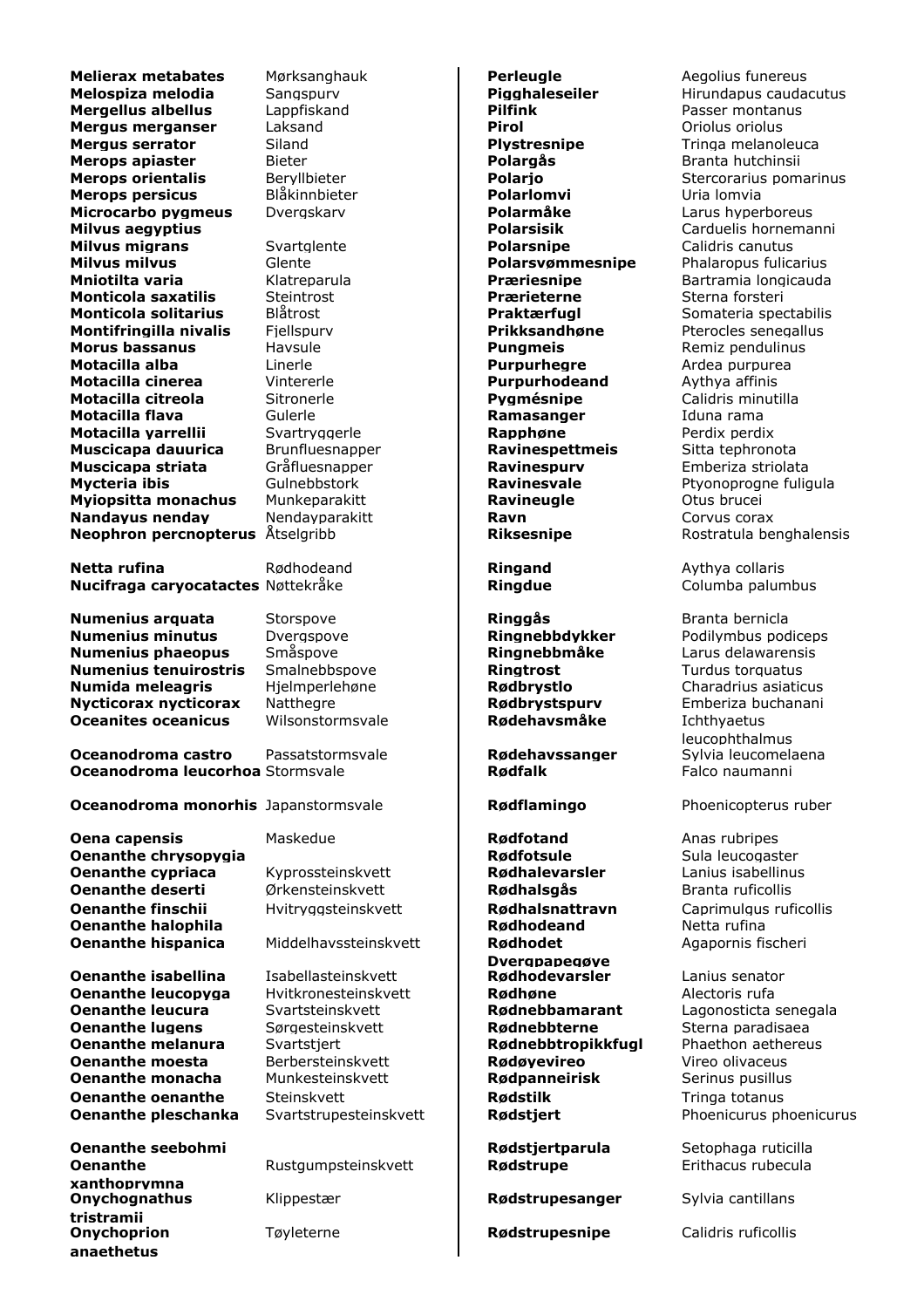**Melierax metabates** Mørksanghauk **Perleugle Perleugle** Aegolius funereus<br> **Pigghaleseiler** Hirundapus cauda<br>
Pigghaleseiler Hirundapus cauda **Mergellus albellus** Lappfiskand **Pilfink** Passer montanus **Mergus merganser** Laksand **Pirol** Oriolus oriolus **Mergus serrator Siland Communisty School Siland Plystresnipe** Tringa melanoleuca **Merops apiaster** Bieter **Bieter Polargås** Branta hutchinsii **Merops orientalis** Beryllbieter **Polario Polario** Stercorarius pomarinus **Merops persicus** Blåkinnbieter **Polarlomvi** Polarlomvia **Microcarbo pygmeus** Dvergskarv **Polarmåke** Larus hyperboreus **Milvus aegyptius Polarsisik** Carduelis hornemanni **Milvus migrans** Svartglente **Polarsnipe** Calidris canutus **Milvus milvus** Glente **Polarsvømmesnipe** Phalaropus fulicarius **Mniotilta varia** Klatreparula **Præriesnipe** Bartramia longicauda **Monticola saxatilis Monticola solitarius** Blåtrost **Praktærfugl** Somateria spectabilis **Montifringilla nivalis** Fjellspurv **Prikksandhøne** Pterocles senegallus **Morus bassanus Havsule Remiz Remiz pendulinus Pungmeis** Remiz pendulinus **Motacilla alba Linerle Purpurhegre** Ardea purpurea **Motacilla cinerea** Vintererle **Purpurhodeand** Aythya affinis **Motacilla citreola** Sitronerle **Pygmésnipe** Calidris minutilla **Motacilla flava** Gulerle **Ramasanger** Iduna rama **Motacilla varrellii** Svartryggerle **Rapphøne** Perdix perdix **Muscicapa dauurica** Brunfluesnapper **Ravinespettmeis** Sitta tephronota **Muscicapa striata** Gråfluesnapper **Ravinespurv** Emberiza striolata **Mycteria ibis Gulnebbstork Ravinesvale** Ptyonoprogne fuligula **Myiopsitta monachus** Munkeparakitt **Ravineugle** Otus brucei **Nandayus nenday** Mendayparakitt **Ravn Ravn** Corvus corax **Neophron percnopterus** Åtselgribb **Riksesnipe** Rostratula benghalensis

**Netta rufina** Rødhodeand **Ringand** Aythya collaris **Nucifraga caryocatactes** Nøttekråke **Ringdue Ringdue** Columba palumbus

**Numenius arquata** Storspove **Ringgås** Branta bernicla **Numenius minutus** Dvergspove **Ringnebbdykker** Podilymbus podiceps **Numenius phaeopus** Småspove **Ringnebbmåke** Larus delawarensis **Numenius tenuirostris** Smalnebbspove **Ringtrost Ringtrost** Turdus torquatus **Numida meleagris** Hielmperlehøne **Rødbrystlo** Charadrius asiatic **Numida meleagris** Hjelmperlehøne **Rødbrystlo** Charadrius asiaticus **Nycticorax nycticorax** Natthegre **Rødbrystspurv** Emberiza buchanani **Oceanites oceanicus** Wilsonstormsvale **Rødehavsmåke** Ichthyaetus

**Oceanodroma castro** Passatstormsvale **Rødehavssanger Oceanodroma leucorhoa** Stormsvale **Rødfalk Rødfalk** Falco naumanni

**Oceanodroma monorhis** Japanstormsvale **Rødflamingo** Phoenicopterus ruber

**Oena capensis** Maskedue **Rødfotand** Anas rubripes **Oenanthe chrysopygia Rødfotsule** Sula leucogaster **Oenanthe cypriaca** Kyprossteinskvett **Rødhalevarsler** Lanius isabellinus **Oenanthe deserti** Ørkensteinskvett **Rødhalsgås** Branta ruficollis **Oenanthe finschii** Hvitryggsteinskvett **Rødhalsnattravn** Caprimulgus ruficollis<br>**Rødhodeand** Netta rufina **Oenanthe halophila Oenanthe hispanica** Middelhavssteinskvett | Rødhodet

**Oenanthe isabellina** Isabellasteinskvett **Rødhodevarsler** Lanius senator **Oenanthe leucopyga** Hvitkronesteinskvett **Rødhøne** Alectoris rufa **Oenanthe leucura** Svartsteinskvett **Rødnebbamarant** Lagonosticta senegala **Oenanthe lugens** Sørgesteinskvett **Rødnebbterne** Sterna paradisaea **Oenanthe melanura** Svartstjert **Rødnebbtropikkfugl** Phaethon aethereus **Oenanthe moesta** Berbersteinskvett **Rødøyevireo** Vireo olivaceus **Oenanthe monacha** Munkesteinskvett **Rødpanneirisk** Serinus pusillus **Oenanthe oenanthe** Steinskvett **Rødstilk Rødstilk** Tringa totanus

**Oenanthe xanthoprymna Onychognathus tristramii Onychoprion anaethetus**

Dverapapeaøve<br>Rødhodevarsler

Klippestær **Rødstrupesanger** Sylvia cantillans

Tøyleterne **Rødstrupesnipe** Calidris ruficollis

**Melospiza melodia** Sangspurv **Pigghaleseiler** Hirundapus caudacutus

leucophthalmus<br>Sylvia leucomelaena

Agapornis fischeri

**Oenanthe pleschanka** Svartstrupesteinskvett **Rødstiert Phoenicurus phoenicurus** phoenicurus

**Oenanthe seebohmi and Setophaga ruticilla Rødstiertparula** Setophaga ruticilla Rustgumpsteinskvett | **Rødstrupe** Erithacus rubecula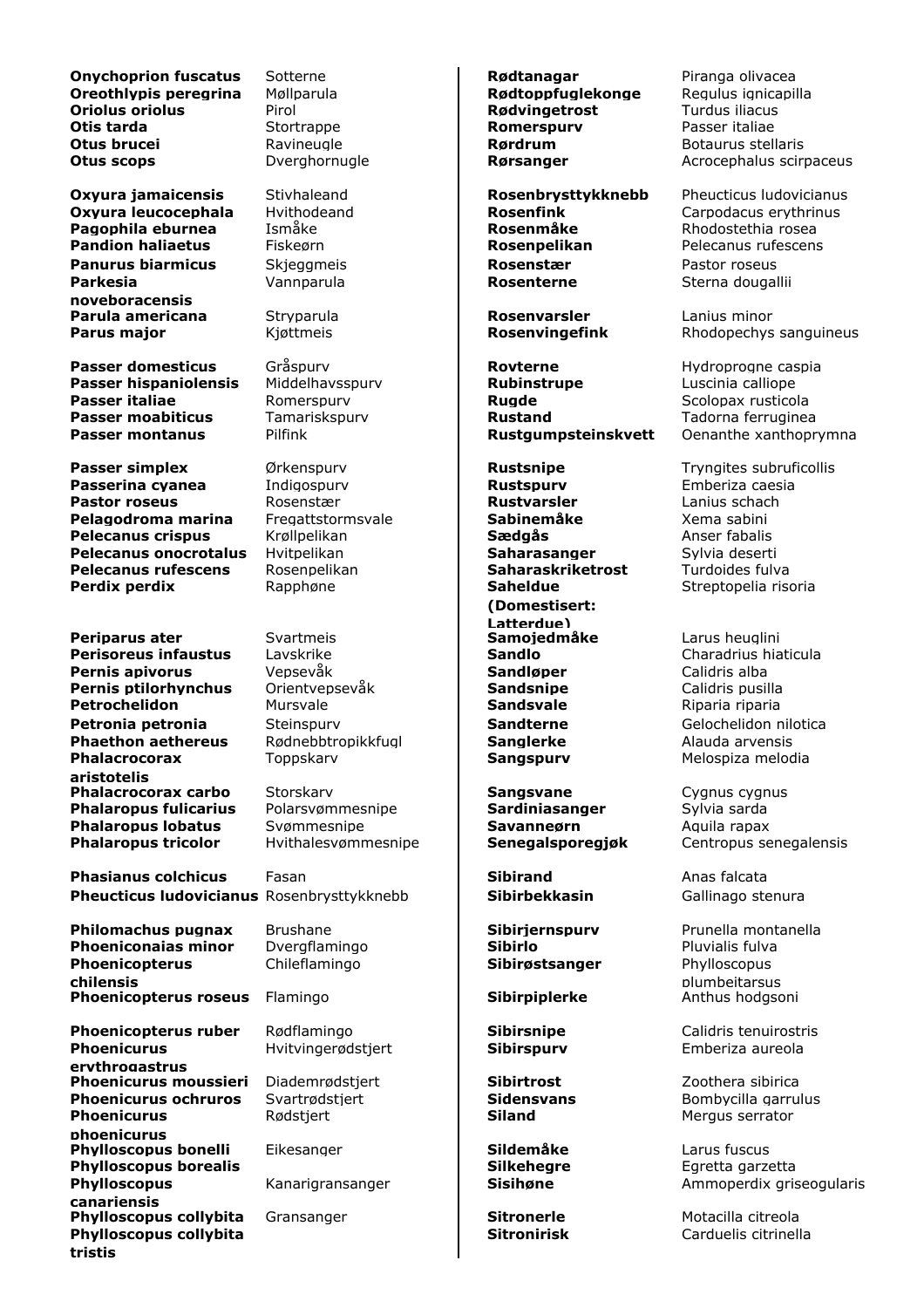**Onychoprion fuscatus** Sotterne **Rødtanagar** Piranga olivacea<br> **Oreothivpis peregrina** Møllparula **Rødtoppfuglekonge** Regulus ignicapilla **Oriolus oriolus** Pirol **Production Rødvingetrost** Turdus iliacus **Otis tarda Romerspurv Passer italiae Romerspurv Passer italiae Otus brucei Ravineugle Communisty Routing Rørdrum** Botaurus stellaris **Otus scops Dverghornugle <b>Rørsanger** Acrocephalus scirpaceus

**Oxyura leucocephala** Hvithodeand **Rosenfink** Carpodacus erythrinus and Resemble the Carpodacus erythrinus erythrinus<br> **Rosenmåke** Rosenmarke Rosenmarke Rosenmarke Rhodostethia rosea **Pagophila eburnea Pandion haliaetus** Fiskeørn **Rosenpelikan** Pelecanus rufescens **Panurus biarmicus** Skjeggmeis **Rosenstær** Pastor roseus **Parkesia noveboracensis Parula americana** Stryparula **Rosenvarsler** Lanius minor

**Passer domesticus** Gråspurv **Rovterne Rovterne** Hydroprogne caspia **Passer hispaniolensis** Middelhavsspurv **Rubinstrupe** Luscinia calliope **Passer italiae Romerspury Communication Rugde Rugger Scolopax rusticola Passer moabiticus** Tamariskspurv **Rustand Rustand** Tadorna ferruginea

**Passer simplex**  $\bullet$  Ørkenspurv **Rustsnipe Rustsnipe** Tryngites subruficollis **Passerina cyanea** Indigospurv **Rustspurv Rustspurv** Emberiza caesia<br> **Pastor roseus** Rosenstær **Rustvarsler** Lanius schach **Pastor roseus Pelagodroma marina** Fregattstormsvale **Sabinemåke** Xema sabini **Pelecanus crispus** Krøllpelikan **Sædgås** Anser fabalis **Pelecanus onocrotalus** Hvitpelikan **Saharasanger** Sylvia deserti **Pelecanus rufescens** Rosenpelikan **Saharaskriketrost** Turdoides fulva **Perdix perdix** Rapphøne **Rapphøne Rapphøne Rapphøne** 

**Periparus ater** Svartmeis **Samojedmåke** Larus heuglini **Perisoreus infaustus** Lavskrike **Sandlo Sandlo** Charadrius hiaticula **Pernis apivorus** Vepsevåk **Sandløper** Calidris alba **Pernis ptilorhynchus** Orientvepsevåk **Sandsnipe** Calidris pusilla **Petrochelidon Mursvale <b>Mursvale Sandsvale Riparia riparia Petronia petronia** Steinspury **Sandterne** Sandterne Gelochelidon nilotica **Phaethon aethereus** Rødnebbtropikkfugl **Sanglerke** Alauda arvensis **Phalacrocorax aristotelis Phalacrocorax carbo** Storskarv **Sangsvane Sangsvane** Cygnus cygnus cygnus Cygnus Cygnus Cygnus Cygnus Cylvia sarda **Phalaropus fulicarius** Polarsvømmesnipe **Sardiniasanger** Sylvia sarda **Phalaropus lobatus** Svømmesnipe **Savanneørn** Aquila rapax

**Phasianus colchicus** Fasan **Sibirand Sibirand** Anas falcata **Pheucticus ludovicianus** Rosenbrysttykknebb **Sibirbekkasin** Gallinago stenura

**Philomachus pugnax** Brushane **Sibiriernspurv** Prunella montanella **Phoeniconaias minor** Dvergflamingo **Sibirlo Sibirlo** Pluvialis fulva **Phoenicopterus chilensis Phoenicopterus roseus** Flamingo **Sibirpiplerke** Anthus hodgsoni

**Phoenicopterus ruber** Rødflamingo<br> **Phoenicurus** Hvitvingerødstjert **Sibirspurv** Emberiza aureola **Phoenicurus erythrogastrus Phoenicurus moussieri** Diademrødstiert **Sibirtrost Sibirtrost** Zoothera sibirica **Phoenicurus ochruros** Svartrødstiert **Sidensvans** Bombycilla garrulus **Phoenicurus phoenicurus Phylloscopus bonelli** Eikesanger **Sildemåke** Larus fuscus **Phylloscopus borealis Silkehegre** Egretta garzetta **Phylloscopus canariensis Phylloscopus collybita** Gransanger **Sitronerle Sitronerle** Motacilla citreola **Phylloscopus collybita tristis**

**Hvitvingerødstjert** 

**Rødtoppfuglekonge** 

Vannparula **Rosenterne** Sterna dougallii

**(Domestisert: Latterdue)** Toppskarv **Sangspurv** Melospiza melodia

Chileflamingo **Sibirøstsanger** Phylloscopus

**Oxyura jamaicensis** Stivhaleand **Rosenbrysttykknebb** Pheucticus ludovicianus<br> **Carpodacus erythrinus** Hvithodeand **Rosenfink** Carpodacus erythrinus

**Parus major Rosenvingefink** Rhodopechys sanguineus

**Passer montanus** Pilfink **Rustgumpsteinskvett** Oenanthe xanthoprymna

Streptopelia risoria

**Phalaropus tricolor** Hvithalesvømmesnipe **Senegalsporegjøk** Centropus senegalensis

plumbeitarsus

Rødstjert **Siland** Mergus serrator

Kanarigransanger **Sisihøne** Ammoperdix griseogularis

**Sitronirisk** Carduelis citrinella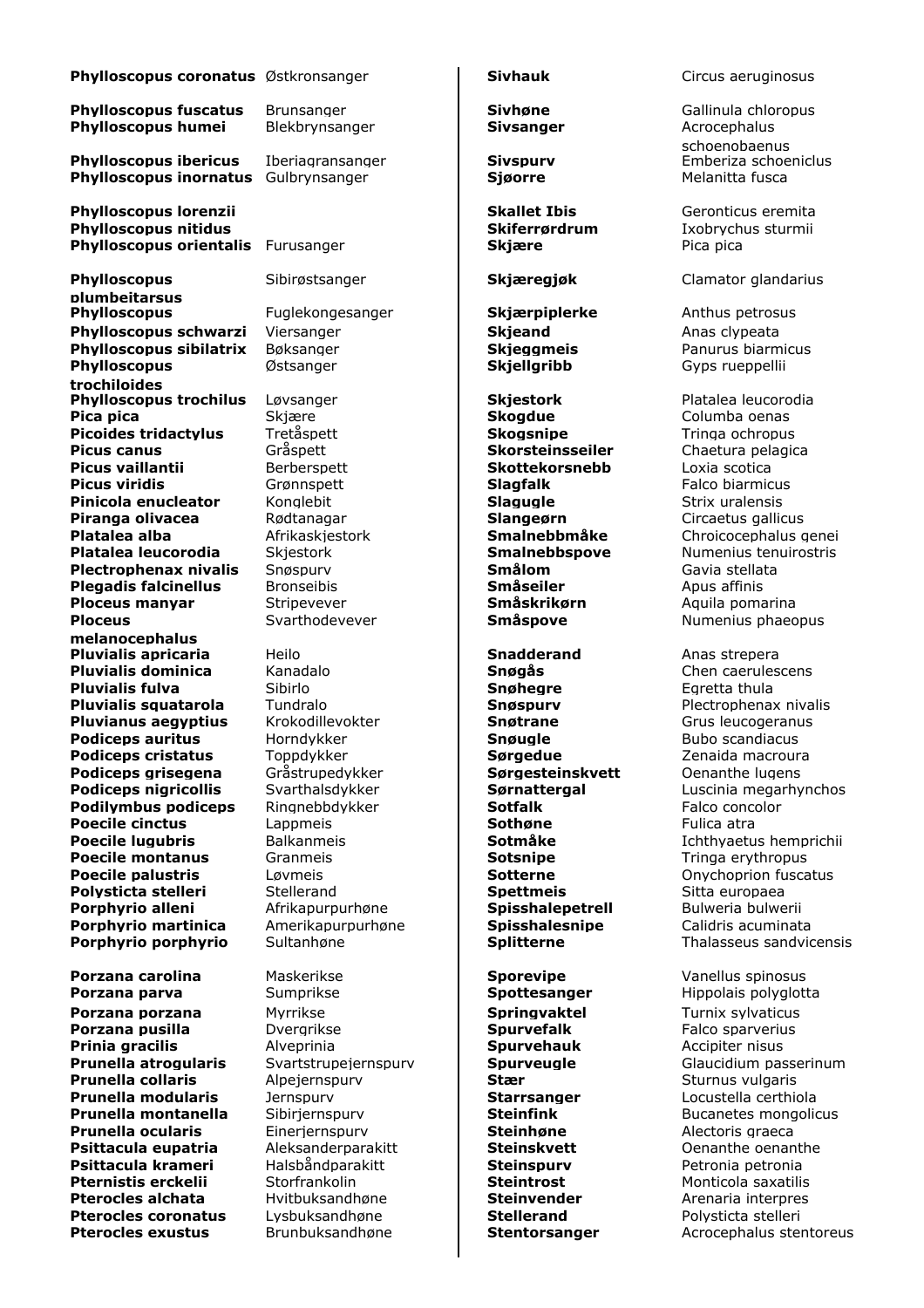| Phylloscopus coronatus Østkronsanger                    |                      | <b>Sivhauk</b>            | Circus aeru                |
|---------------------------------------------------------|----------------------|---------------------------|----------------------------|
| <b>Phylloscopus fuscatus</b>                            | <b>Brunsanger</b>    | <b>Sivhøne</b>            | Gallinula ch               |
| <b>Phylloscopus humei</b>                               | Blekbrynsanger       | <b>Sivsanger</b>          | Acrocephalu                |
|                                                         |                      |                           | schoenobae                 |
| <b>Phylloscopus ibericus</b>                            | Iberiagransanger     | <b>Sivspurv</b>           | Emberiza so                |
| <b>Phylloscopus inornatus</b>                           | Gulbrynsanger        | <b>Sjøorre</b>            | Melanitta fu               |
| <b>Phylloscopus lorenzii</b>                            |                      | <b>Skallet Ibis</b>       | Geronticus                 |
| <b>Phylloscopus nitidus</b>                             |                      | Skiferrørdrum             | Ixobrychus                 |
| <b>Phylloscopus orientalis</b>                          | Furusanger           | <b>Skjære</b>             | Pica pica                  |
| <b>Phylloscopus</b>                                     | Sibirøstsanger       | Skjæregjøk                | Clamator gl                |
| plumbeitarsus                                           |                      |                           |                            |
| <b>Phylloscopus</b>                                     | Fuglekongesanger     | Skjærpiplerke             | Anthus petr                |
| Phylloscopus schwarzi                                   | Viersanger           | <b>Skjeand</b>            | Anas clypea                |
| <b>Phylloscopus sibilatrix</b>                          | Bøksanger            | <b>Skjeggmeis</b>         | Panurus bia                |
| <b>Phylloscopus</b>                                     | Østsanger            | <b>Skjellgribb</b>        | Gyps ruepp                 |
| trochiloides                                            |                      |                           |                            |
| <b>Phylloscopus trochilus</b>                           | Løvsanger            | <b>Skjestork</b>          | Platalea leu               |
| Pica pica                                               | Skjære               | <b>Skoadue</b>            | Columba oe                 |
| <b>Picoides tridactylus</b>                             | Tretåspett           | <b>Skogsnipe</b>          | Tringa ochr                |
| <b>Picus canus</b>                                      | Gråspett             | <b>Skorsteinsseiler</b>   | Chaetura pe                |
| Picus vaillantii                                        | Berberspett          | <b>Skottekorsnebb</b>     | Loxia scotic               |
| <b>Picus viridis</b>                                    | Grønnspett           | <b>Slagfalk</b>           | Falco biarm                |
| Pinicola enucleator                                     | Konglebit            | <b>Slagugle</b>           | Strix uralen               |
| Piranga olivacea                                        | Rødtanagar           | Slangeørn                 | Circaetus qa               |
| Platalea alba                                           | Afrikaskjestork      | Smalnebbmåke              | Chroicoceph                |
| Platalea leucorodia                                     | Skjestork            | <b>Smalnebbspove</b>      | Numenius t                 |
| <b>Plectrophenax nivalis</b>                            | Snøspurv             | Smålom                    | Gavia stella               |
| <b>Plegadis falcinellus</b>                             | <b>Bronseibis</b>    | <b>Småseiler</b>          | Apus affinis               |
| Ploceus manyar                                          | Stripevever          | Småskrikørn               | Aquila poma                |
| <b>Ploceus</b>                                          | Svarthodevever       | <b>Småspove</b>           | Numenius p                 |
| melanocephalus                                          |                      |                           |                            |
| <b>Pluvialis apricaria</b><br><b>Pluvialis dominica</b> | Heilo<br>Kanadalo    | <b>Snadderand</b>         | Anas strepe<br>Chen caerul |
| <b>Pluvialis fulva</b>                                  | Sibirlo              | Snøgås<br><b>Snøhegre</b> | Egretta thul               |
| <b>Pluvialis squatarola</b>                             | Tundralo             | <b>Snøspurv</b>           | Plectrophen                |
| <b>Pluvianus aegyptius</b>                              | Krokodillevokter     | <b>Snøtrane</b>           | Grus leucog                |
| <b>Podiceps auritus</b>                                 | Horndykker           | Snøugle                   | Bubo scand                 |
| <b>Podiceps cristatus</b>                               | Toppdykker           | Sørgedue                  | Zenaida ma                 |
| Podiceps grisegena                                      | Gråstrupedykker      | Sørgesteinskvett          | Oenanthe lu                |
| <b>Podiceps nigricollis</b>                             | Svarthalsdykker      | <b>Sørnattergal</b>       | Luscinia me                |
| <b>Podilymbus podiceps</b>                              | Ringnebbdykker       | <b>Sotfalk</b>            | Falco conco                |
| <b>Poecile cinctus</b>                                  | Lappmeis             | Sothøne                   | Fulica atra                |
| <b>Poecile lugubris</b>                                 | <b>Balkanmeis</b>    | Sotmåke                   | Ichthyaetus                |
| <b>Poecile montanus</b>                                 | Granmeis             | <b>Sotsnipe</b>           | Tringa eryth               |
| <b>Poecile palustris</b>                                | Løvmeis              | <b>Sotterne</b>           | Onychoprio                 |
| Polysticta stelleri                                     | Stellerand           | <b>Spettmeis</b>          | Sitta europa               |
| Porphyrio alleni                                        | Afrikapurpurhøne     | Spisshalepetrell          | Bulweria bu                |
| Porphyrio martinica                                     | Amerikapurpurhøne    | Spisshalesnipe            | Calidris acu               |
| Porphyrio porphyrio                                     | Sultanhøne           | <b>Splitterne</b>         | Thalasseus                 |
| Porzana carolina                                        | Maskerikse           | <b>Sporevipe</b>          | Vanellus sp                |
| Porzana parva                                           | Sumprikse            | Spottesanger              | Hippolais po               |
| Porzana porzana                                         | Myrrikse             | <b>Springvaktel</b>       | Turnix sylva               |
| Porzana pusilla                                         | Dvergrikse           | <b>Spurvefalk</b>         | Falco sparv                |
| Prinia gracilis                                         | Alveprinia           | <b>Spurvehauk</b>         | Accipiter nis              |
| Prunella atrogularis                                    | Svartstrupejernspurv | <b>Spurveugle</b>         | Glaucidium                 |
|                                                         |                      |                           |                            |

**Pluvialis fulva** Sibirlo **Snøhegre** Egretta thula **Podiceps and Snøugle auritus (Frankright Snøugle Bubo scandiacus<br>Podice Borndykker <b>Sørgedue** Barthard Senaida macrour **Podiceps grisegena** Gråstrupedykker **Sørgesteinskvett** Oenanthe lugens **Podice Postfalk** Falco concolor **Sotfalk** Falco concolor **Pranmeis Contenus Sotsnipe** Fringa erythropus<br>Primeis **Sotterne** Tringa erythropus Convention fusca **Polynchia stellerand Spettmeis** Sitta europaea **Porphyrio alleni** Afrikapurpurhøne **Spisshalepetrell** Bulweria bulwerii

**Porzana carolina** Maskerikse **Sporevipe** Vanellus spinosus **Porana Porzana Porzana Porzana Porzana Porzana Porzana Porzana Porzana Porzana Porzana Porzana Porzana Porzana Porzana porzana** Myrrikse **Springvaktel** Turnix sylvaticus **Porzana pusilla** Dvergrikse **Spurvefalk** Falco sparverius **Prinia gracilis** Alveprinia **Spurvehauk** Accipiter nisus **Prunella collaris** Alpejernspurv **Stær** Sturnus vulgaris **Prunella modularis** Jernspurv **Starrsanger** Locustella certhiola **Prunella ocularis** Einerjernspurv **Steinhøne** Alectoris graeca **Psittacula eupatria** Aleksanderparakitt **Steinskvett** Oenanthe oenanthe **Psittacula krameri** Halsbåndparakitt **Steinspurv** Petronia petronia **Pternistis erckelii** Storfrankolin **Steintrost Steintrost** Monticola saxatilis **Pterocles alchata** Hvitbuksandhøne **Steinvender** Arenaria interpres **Pterocles alchata** Hvitbuksandhøne **Steinvender** Arenaria interpres **Pterocles coronatus** Lysbuksandhøne **Stellerand** Polysticta stelleri

**Philippe Columba pica pica pica pica pica pica series Skogdue Columba oenas**<br>Pica Skogsnipe **Skogsnipe** Tringa ochropus **Pretåspett Skogsnipe Skogsnipe** Tringa ochropus<br>Fråspett **Skorsteinsseiler** Chaetura pelagic **Picus vaillantii** Berberspett **Skottekorsnebb** Loxia scotica **Picus viridis** Grønnspett **Slagfalk** Falco biarmicus **Philopola enuclear Slagugle**<br>Palanger **Slangeørn Slangeørn** Circaetus gallick **Piranga olivacea** Rødtanagar **Slangeørn** Circaetus gallicus **Plectrophenax nivalis** Snøspurv **Smålom** Gavia stellata **Politica mandate manns mandate Småskrikørn Boliver Aquila pomarina** 

**Phylloscopus coronatus** Østkronsanger **Sivhauk** Circus aeruginosus

**Phylloscopus fuscatus** Brunsanger **Sivhøne** Gallinula chloropus **Phylloscophism Phylloscopus Sivsanger** Acrocephalus schoenobaenus **Phylloscopus in Sivspurv** Emberiza schoeniclus **Sivspurv** Emberiza schoeniclus **Phylloscopus inornatus** Gulbrynsanger **Sjøorre** Melanitta fusca

> **Phyllons Phyllons** Geronticus eremita **Skiferrørdrum** Ixobrychus sturmii

Sibirøstsanger **Skjæregjøk** Clamator glandarius

Fuglekongesanger **Skjærpiplerke** Anthus petrosus **Phylloscopus sibilatrix** Bøksanger **Skjeggmeis** Panurus biarmicus Østsanger **Skjellgribb** Gyps rueppellii

**Phylloscopus trochilus** Løvsanger **Skjestork** Platalea leucorodia **Chaetura pelagica Platalea alba** Afrikaskjestork **Smalnebbmåke** Chroicocephalus genei **Politica leucoronicus** Skiestork **Skiestork Skiestork Skiestork Schwalnebbspove** Numenius tenuirostris **Smalnebbspove** Savia stellata Svarthodevever **Småspove** Numenius phaeopus

**Pluvialis dominica** Kanadalo **Snøgås** Chen caerulescens **Political Snøspurv Blectrophenax nivalis**<br>Plectrophenax nivalis (contrative of the Snøtrane State of the Grus leucogeranus **Pluvianus aegyptius** Krokodillevokter **Snøtrane** Grus leucogeranus **Podiceps cristatus** Toppdykker **Sørgedue** Zenaida macroura **Podiceps nigricollis** Svarthalsdykker **Sørnattergal** Luscinia megarhynchos **Poecile lugubris** Balkanmeis **Sotmåke** Ichthyaetus hemprichii **Poecile palustris** Løvmeis **Sotterne** Onychoprion fuscatus **Porphyrio martinica** Amerikapurpurhøne **Spisshalesnipe** Calidris acuminata **Porphyrio porphyrio** Sultanhøne **Splitterne** Thalasseus sandvicensis

**Prunella atrogularis** Svartstrupejernspurv **Spurveugle** Glaucidium passerinum **Prunella montanella** Sibirjernspurv **Steinfink** Sucanetes mongolicus **Pterocles exustus** Brunbuksandhøne **Stentorsanger** Acrocephalus stentoreus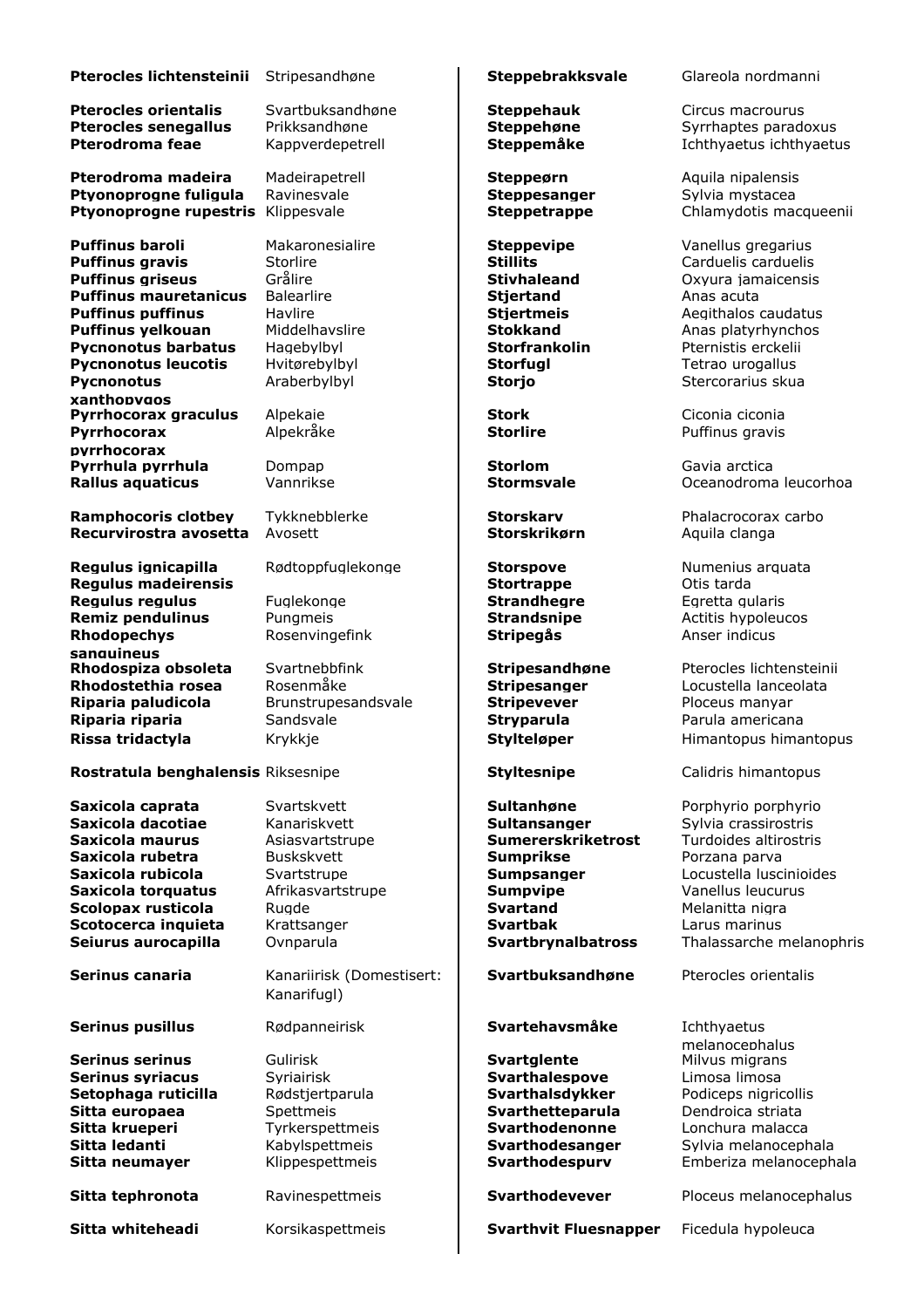# **Pterocles lichtensteinii** Stripesandhøne **Steppebrakksvale** Glareola nordmanni

**Pterocles senegallus** Prikksandhøne **Steppehøne** Syrrhaptes paradoxus

**Pterodroma madeira** Madeirapetrell **Steppeørn** Aquila nipalensis **Ptyonoprogne fuligula** Ravinesvale **Steppesanger** Sylvia mystacea **Ptyonoprogne rupestris** Klippesvale **Steppetrappe** Chlamydotis macqueenii

**Puffinus baroli Makaronesialire Steppevipe** Vanellus gregarius **Vanellus** Gregarius **Puffinus gravis** Storlire **Stillits** Carduelis carduelis **Puffinus griseus** Grålire **Stivhaleand** Oxyura jamaicensis **Puffinus mauretanicus** Balearlire **Stjertand Stjertand** Anas acuta **Puffinus puffinus** Havlire **Stjertmeis** Aegithalos caudatus **Puffinus yelkouan** Middelhavslire **Stokkand** Anas platyrhynchos **Pycnonotus barbatus** Hagebylbyl **Storfrankolin** Pternistis erckelii **Pycnonotus leucotis** Hvitørebylbyl **Storfugl Storfugl** Tetrao urogallus **Pycnonotus xanthopygos Pyrrhocorax graculus** Alpekaie **Stork** Stork Ciconia ciconia **Pyrrhocorax pyrrhocorax Pyrrhula pyrrhula** Dompap **Storlom Storlom** Gavia arctica **Rallus aquaticus** Vannrikse **Stormsvale Stormsvale** Oceanodroma leucorhoa

**Ramphocoris clotbey** Tykknebblerke **Storskarv** Phalacrocorax carbo **Recurvirostra avosetta** Avosett **Storskrikørn** Aquila clanga

**Regulus ignicapilla** Rødtoppfuglekonge **Storspove** Numenius arquata **Regulus madeirensis Stortrappe** Otis tarda **Regulus regulus** Fuglekonge **Fuglekonge Strandhegre** Egretta gularis **Remiz pendulinus** Pungmeis **Remiz pendulinus** Pungmeis **Remiz Extending Political Strandsnipe** Actitis hypoleucos **Rhodopechys sanguineus Rhodospiza obsoleta** Svartnebbfink **Stripesandhøne** Pterocles lichtensteinii **Rhodostethia rosea** Rosenmåke **Stripesanger** Locustella lanceolata **Riparia paludicola** Brunstrupesandsvale **Construct Extripevever** Ploceus manyar **Riparia riparia** Sandsvale **Sandsvale Stryparula Stryparula** Parula americana

**Pterocles orientalis** Svartbuksandhøne **Steppehauk** Circus macrourus

**Rostratula benghalensis** Riksesnipe **Styltesnipe Styltesnipe** Calidris himantopus

**Saxicola caprata** Svartskvett **Sultanhøne** Porphyrio porphyrio

**Serinus serinus** Gulirisk **Sulitzer Millet Svartglente Serinus syriacus** Syriairisk **Syriangle Syrianus Syrianus Syrianus Syrianus Syrianus Syrianus Syrianus Syrianus Syrianus Syrianus Syrianus Syrianus Syrianus Syrianus Syrianus Syrianus Syrianus Syrianus Syrianus Syrianus S Setophaga ruticilla** Rødstjertparula **Svarthalsdykker** Podiceps nigricollis **Sitta europaea** Spettmeis **Svarthetteparula** Dendroica striata **Sitta krueperi** Tyrkerspettmeis **Syarthodenonne** Lonchura malacca

**Serinus canaria** Kanariirisk (Domestisert: Kanarifugl)

Rosenvingefink **Stripegås** Anser indicus

**Saxicola dacotiae** Kanariskvett **Sultansanger** Sylvia crassirostris **Saxicola maurus** Asiasvartstrupe **Sumererskriketrost** Turdoides altirostris **Saxicola rubetra** Buskskvett **Sumprikse Porzana parva Saxicola rubicola** Svartstrupe **Sumpsanger** Locustella luscinioides **Saxicola torquatus** Afrikasvartstrupe **Sumpvipe** Vanellus leucurus **Scolopax rusticola** Rugde **Rugge Research Research Svartand** Melanitta nigra **Scotocerca inquieta** Krattsanger **Svartbak** Larus marinus

**Svartbuksandhøne** Pterocles orientalis

# **Serinus pusillus** Rødpanneirisk **Svartehavsmåke** Ichthyaetus

**Sitta whiteheadi** Korsikaspettmeis **Svarthvit Fluesnapper** Ficedula hypoleuca

**Pterodroma feae** Kappverdepetrell **Steppemåke** Ichthyaetus ichthyaetus

Araberbylbyl **Storjo** Stercorarius skua

Alpekråke **Storlire Puffinus gravis** 

**Rissa tridactyla** Krykkje **Stylteløper** Himantopus himantopus **Krykkje Stylteløper** Himantopus himantopus

**Seiurus aurocapilla** Ovnparula **Svartbrynalbatross** Thalassarche melanophris

melanocephalus<br>Milyus migrans **Sitta ledanti** Kabylspettmeis **Svarthodesanger** Sylvia melanocephala **Sitta neumayer** Klippespettmeis **Sitta neumayer** Klippespettmeis **Sitta Syarthodespurv** Emberiza melanocephala

**Sitta tephronota** Ravinespettmeis **Svarthodevever** Ploceus melanocephalus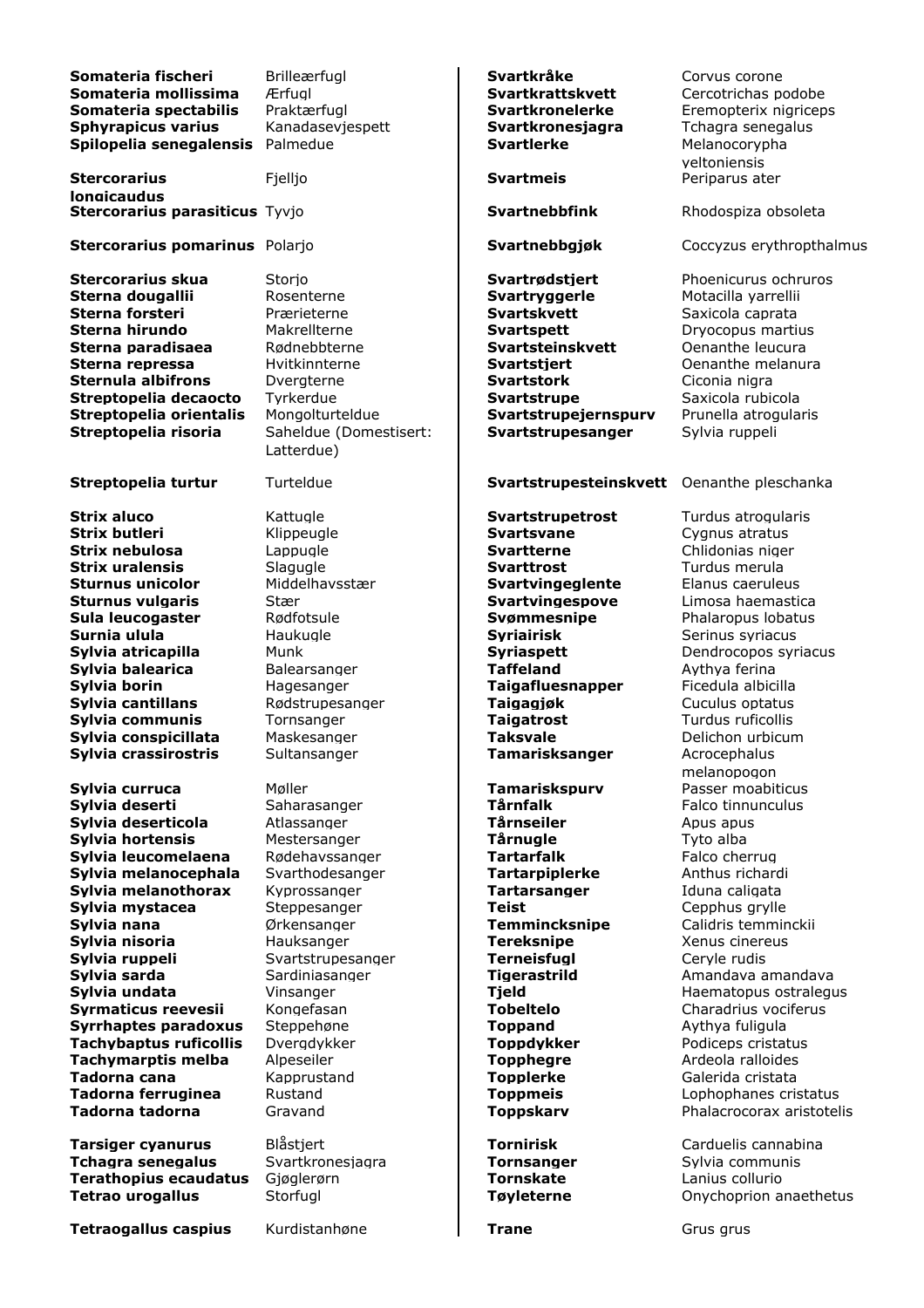| Somateria fischeri<br>Somateria mollissima<br>Somateria spectabilis<br>Sphyrapicus varius<br>Spilopelia senegalensis                                                                                                                                                                                                                                                                                                   | <b>Brilleærfugl</b><br>Ærfual<br>Praktærfugl<br>Kanadaseviespett<br>Palmedue                                                                                                                                                                                                                              | Svartkråke<br><b>Svartkrattskvett</b><br>Svartkronelerke<br><b>Svartkronesiagra</b><br><b>Svartlerke</b>                                                                                                                                                                                                                                                                                            | Corvus corone<br>Cercotrichas podobe<br>Eremopterix nigriceps<br>Tchagra senegalus<br>Melanocorypha<br>veltoniensis                                                                                                                                                                                                                                                                                                             |
|------------------------------------------------------------------------------------------------------------------------------------------------------------------------------------------------------------------------------------------------------------------------------------------------------------------------------------------------------------------------------------------------------------------------|-----------------------------------------------------------------------------------------------------------------------------------------------------------------------------------------------------------------------------------------------------------------------------------------------------------|-----------------------------------------------------------------------------------------------------------------------------------------------------------------------------------------------------------------------------------------------------------------------------------------------------------------------------------------------------------------------------------------------------|---------------------------------------------------------------------------------------------------------------------------------------------------------------------------------------------------------------------------------------------------------------------------------------------------------------------------------------------------------------------------------------------------------------------------------|
| <b>Stercorarius</b><br><b>longicaudus</b>                                                                                                                                                                                                                                                                                                                                                                              | Fjelljo                                                                                                                                                                                                                                                                                                   | <b>Svartmeis</b>                                                                                                                                                                                                                                                                                                                                                                                    | Periparus ater                                                                                                                                                                                                                                                                                                                                                                                                                  |
| Stercorarius parasiticus Tyvjo                                                                                                                                                                                                                                                                                                                                                                                         |                                                                                                                                                                                                                                                                                                           | <b>Svartnebbfink</b>                                                                                                                                                                                                                                                                                                                                                                                | Rhodospiza obsoleta                                                                                                                                                                                                                                                                                                                                                                                                             |
| Stercorarius pomarinus Polarjo                                                                                                                                                                                                                                                                                                                                                                                         |                                                                                                                                                                                                                                                                                                           | Svartnebbgjøk                                                                                                                                                                                                                                                                                                                                                                                       | Coccyzus erythropthalmus                                                                                                                                                                                                                                                                                                                                                                                                        |
| <b>Stercorarius skua</b><br>Sterna dougallii<br>Sterna forsteri<br>Sterna hirundo<br>Sterna paradisaea<br>Sterna repressa<br><b>Sternula albifrons</b><br>Streptopelia decaocto                                                                                                                                                                                                                                        | Storjo<br>Rosenterne<br>Prærieterne<br>Makrellterne<br>Rødnebbterne<br>Hvitkinnterne<br>Dvergterne<br>Tyrkerdue                                                                                                                                                                                           | Svartrødstjert<br>Svartryggerle<br><b>Svartskvett</b><br><b>Svartspett</b><br>Svartsteinskvett<br><b>Svartstjert</b><br><b>Svartstork</b><br><b>Svartstrupe</b>                                                                                                                                                                                                                                     | Phoenicurus ochruros<br>Motacilla yarrellii<br>Saxicola caprata<br>Dryocopus martius<br>Oenanthe leucura<br>Oenanthe melanura<br>Ciconia nigra<br>Saxicola rubicola                                                                                                                                                                                                                                                             |
| Streptopelia orientalis<br>Streptopelia risoria                                                                                                                                                                                                                                                                                                                                                                        | Mongolturteldue<br>Saheldue (Domestisert:<br>Latterdue)                                                                                                                                                                                                                                                   | Svartstrupejernspurv<br>Svartstrupesanger                                                                                                                                                                                                                                                                                                                                                           | Prunella atrogularis<br>Sylvia ruppeli                                                                                                                                                                                                                                                                                                                                                                                          |
| Streptopelia turtur                                                                                                                                                                                                                                                                                                                                                                                                    | Turteldue                                                                                                                                                                                                                                                                                                 | Svartstrupesteinskvett Oenanthe pleschanka                                                                                                                                                                                                                                                                                                                                                          |                                                                                                                                                                                                                                                                                                                                                                                                                                 |
| <b>Strix aluco</b><br><b>Strix butleri</b><br>Strix nebulosa<br><b>Strix uralensis</b><br><b>Sturnus unicolor</b><br><b>Sturnus vulgaris</b><br>Sula leucogaster<br>Surnia ulula<br>Sylvia atricapilla<br>Sylvia balearica<br>Sylvia borin<br>Sylvia cantillans<br>Sylvia communis<br>Sylvia conspicillata<br>Sylvia crassirostris                                                                                     | Kattugle<br>Klippeugle<br>Lappugle<br>Slagugle<br>Middelhavsstær<br>Stær<br>Rødfotsule<br>Haukugle<br>Munk<br>Balearsanger<br>Hagesanger<br>Rødstrupesanger<br>Tornsanger<br>Maskesanger<br>Sultansanger                                                                                                  | Svartstrupetrost<br><b>Svartsvane</b><br><b>Svartterne</b><br><b>Svarttrost</b><br>Svartvingeglente<br>Svartvingespove<br>Svømmesnipe<br><b>Syriairisk</b><br><b>Syriaspett</b><br><b>Taffeland</b><br><b>Taigafluesnapper</b><br>Taigagjøk<br><b>Taigatrost</b><br><b>Taksvale</b><br>Tamarisksanger                                                                                               | Turdus atrogularis<br>Cygnus atratus<br>Chlidonias niger<br>Turdus merula<br>Elanus caeruleus<br>Limosa haemastica<br>Phalaropus lobatus<br>Serinus syriacus<br>Dendrocopos syriacus<br>Aythya ferina<br>Ficedula albicilla<br>Cuculus optatus<br>Turdus ruficollis<br>Delichon urbicum<br>Acrocephalus                                                                                                                         |
| Sylvia curruca<br>Sylvia deserti<br>Sylvia deserticola<br>Sylvia hortensis<br>Sylvia leucomelaena<br>Sylvia melanocephala<br>Sylvia melanothorax<br>Sylvia mystacea<br>Sylvia nana<br>Sylvia nisoria<br>Sylvia ruppeli<br>Sylvia sarda<br>Sylvia undata<br>Syrmaticus reevesii<br>Syrrhaptes paradoxus<br><b>Tachybaptus ruficollis</b><br>Tachymarptis melba<br>Tadorna cana<br>Tadorna ferruginea<br>Tadorna tadorna | Møller<br>Saharasanger<br>Atlassanger<br>Mestersanger<br>Rødehavssanger<br>Svarthodesanger<br>Kyprossanger<br>Steppesanger<br>Ørkensanger<br>Hauksanger<br>Svartstrupesanger<br>Sardiniasanger<br>Vinsanger<br>Kongefasan<br>Steppehøne<br>Dvergdykker<br>Alpeseiler<br>Kapprustand<br>Rustand<br>Gravand | Tamariskspurv<br>Tårnfalk<br>Tårnseiler<br><b>Tårnugle</b><br><b>Tartarfalk</b><br><b>Tartarpiplerke</b><br><b>Tartarsanger</b><br><b>Teist</b><br><b>Temmincksnipe</b><br><b>Tereksnipe</b><br><b>Terneisfugl</b><br><b>Tigerastrild</b><br><b>Tjeld</b><br><b>Tobeltelo</b><br><b>Toppand</b><br><b>Toppdykker</b><br><b>Topphegre</b><br><b>Topplerke</b><br><b>Toppmeis</b><br><b>Toppskarv</b> | melanopogon<br>Passer moabiticus<br>Falco tinnunculus<br>Apus apus<br>Tyto alba<br>Falco cherrug<br>Anthus richardi<br>Iduna caligata<br>Cepphus grylle<br>Calidris temminckii<br>Xenus cinereus<br>Ceryle rudis<br>Amandava amandava<br>Haematopus ostralegus<br>Charadrius vociferus<br>Aythya fuligula<br>Podiceps cristatus<br>Ardeola ralloides<br>Galerida cristata<br>Lophophanes cristatus<br>Phalacrocorax aristotelis |
| <b>Tarsiger cyanurus</b><br><b>Tchagra senegalus</b><br><b>Terathopius ecaudatus</b><br><b>Tetrao urogallus</b>                                                                                                                                                                                                                                                                                                        | Blåstjert<br>Svartkronesjagra<br>Gjøglerørn<br>Storfugl                                                                                                                                                                                                                                                   | <b>Tornirisk</b><br><b>Tornsanger</b><br><b>Tornskate</b><br>Tøyleterne                                                                                                                                                                                                                                                                                                                             | Carduelis cannabina<br>Sylvia communis<br>Lanius collurio<br>Onychoprion anaethetus                                                                                                                                                                                                                                                                                                                                             |
| <b>Tetraogallus caspius</b>                                                                                                                                                                                                                                                                                                                                                                                            | Kurdistanhøne                                                                                                                                                                                                                                                                                             | <b>Trane</b>                                                                                                                                                                                                                                                                                                                                                                                        | Grus grus                                                                                                                                                                                                                                                                                                                                                                                                                       |